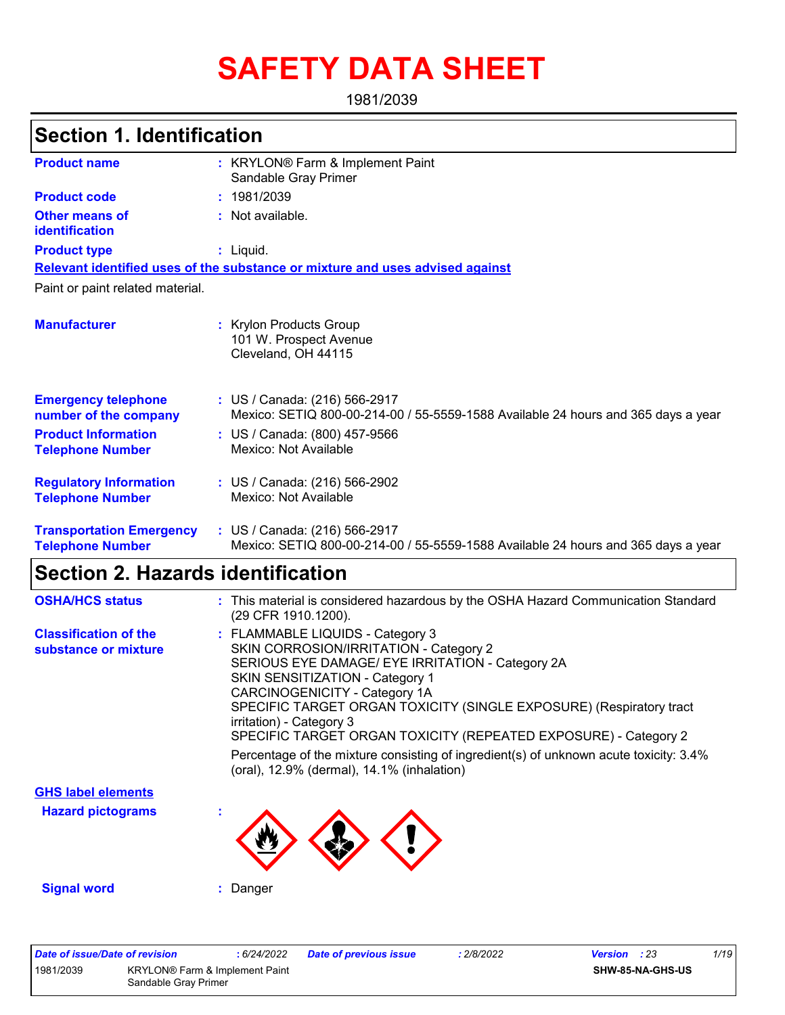# **SAFETY DATA SHEET**

1981/2039

### **Section 1. Identification**

| <b>Product name</b>                                        | : KRYLON® Farm & Implement Paint<br>Sandable Gray Primer                                                           |
|------------------------------------------------------------|--------------------------------------------------------------------------------------------------------------------|
| <b>Product code</b>                                        | : 1981/2039                                                                                                        |
| <b>Other means of</b><br>identification                    | : Not available.                                                                                                   |
| <b>Product type</b>                                        | : Liquid.                                                                                                          |
|                                                            | Relevant identified uses of the substance or mixture and uses advised against                                      |
| Paint or paint related material.                           |                                                                                                                    |
| <b>Manufacturer</b>                                        | : Krylon Products Group<br>101 W. Prospect Avenue<br>Cleveland, OH 44115                                           |
| <b>Emergency telephone</b><br>number of the company        | : US / Canada: (216) 566-2917<br>Mexico: SETIQ 800-00-214-00 / 55-5559-1588 Available 24 hours and 365 days a year |
| <b>Product Information</b><br><b>Telephone Number</b>      | : US / Canada: (800) 457-9566<br>Mexico: Not Available                                                             |
| <b>Regulatory Information</b><br><b>Telephone Number</b>   | : US / Canada: (216) 566-2902<br>Mexico: Not Available                                                             |
| <b>Transportation Emergency</b><br><b>Telephone Number</b> | : US / Canada: (216) 566-2917<br>Mexico: SETIQ 800-00-214-00 / 55-5559-1588 Available 24 hours and 365 days a year |

### **Section 2. Hazards identification**

| <b>OSHA/HCS status</b>                               | : This material is considered hazardous by the OSHA Hazard Communication Standard<br>(29 CFR 1910.1200).                                                                                                                                                                                                                                                                                                                                                                                                               |
|------------------------------------------------------|------------------------------------------------------------------------------------------------------------------------------------------------------------------------------------------------------------------------------------------------------------------------------------------------------------------------------------------------------------------------------------------------------------------------------------------------------------------------------------------------------------------------|
| <b>Classification of the</b><br>substance or mixture | : FLAMMABLE LIQUIDS - Category 3<br>SKIN CORROSION/IRRITATION - Category 2<br>SERIOUS EYE DAMAGE/ EYE IRRITATION - Category 2A<br><b>SKIN SENSITIZATION - Category 1</b><br>CARCINOGENICITY - Category 1A<br>SPECIFIC TARGET ORGAN TOXICITY (SINGLE EXPOSURE) (Respiratory tract<br>irritation) - Category 3<br>SPECIFIC TARGET ORGAN TOXICITY (REPEATED EXPOSURE) - Category 2<br>Percentage of the mixture consisting of ingredient(s) of unknown acute toxicity: 3.4%<br>(oral), 12.9% (dermal), 14.1% (inhalation) |
| <b>GHS label elements</b>                            |                                                                                                                                                                                                                                                                                                                                                                                                                                                                                                                        |
| <b>Hazard pictograms</b>                             |                                                                                                                                                                                                                                                                                                                                                                                                                                                                                                                        |
| <b>Signal word</b>                                   | : Danger                                                                                                                                                                                                                                                                                                                                                                                                                                                                                                               |

|           | Date of issue/Date of revision | 6/24/2022                      | Date of previous issue | 2/8/2022 | <b>Version</b> : 23 | 1/19 |
|-----------|--------------------------------|--------------------------------|------------------------|----------|---------------------|------|
| 1981/2039 |                                | KRYLON® Farm & Implement Paint |                        |          | SHW-85-NA-GHS-US    |      |
|           | Sandable Grav Primer           |                                |                        |          |                     |      |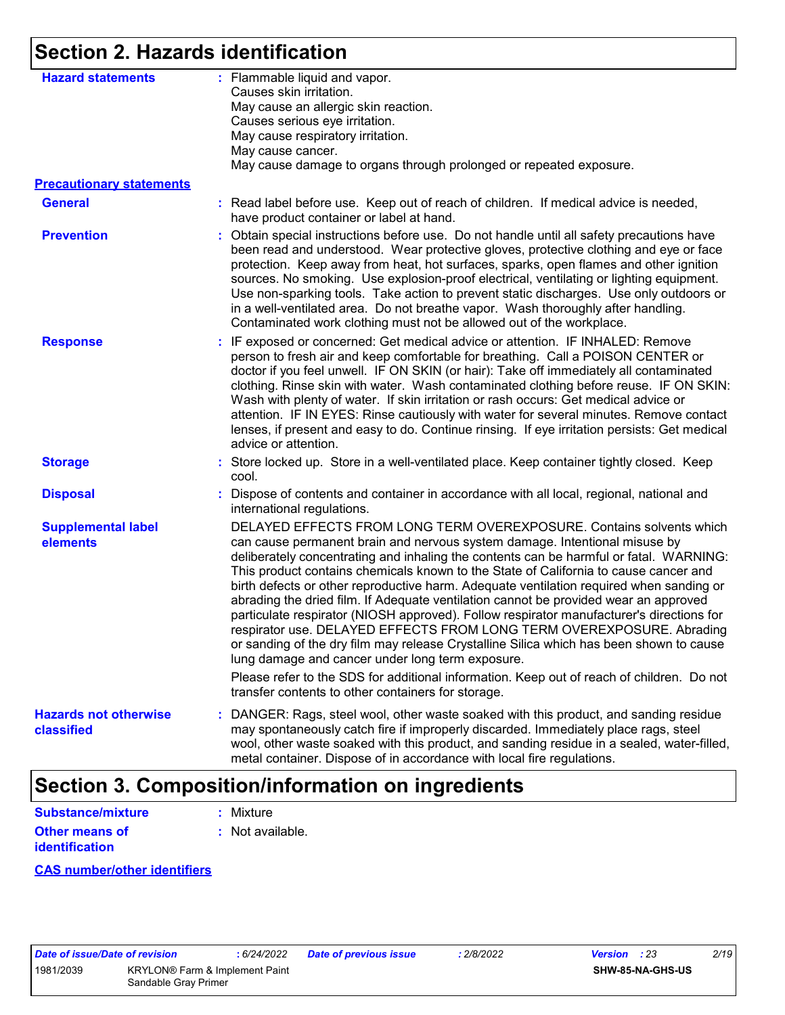### **Section 2. Hazards identification**

| <b>Hazard statements</b>                   | : Flammable liquid and vapor.<br>Causes skin irritation.<br>May cause an allergic skin reaction.<br>Causes serious eye irritation.<br>May cause respiratory irritation.<br>May cause cancer.<br>May cause damage to organs through prolonged or repeated exposure.                                                                                                                                                                                                                                                                                                                                                                                                                                                                                                                                                                                                                                                                                                                             |
|--------------------------------------------|------------------------------------------------------------------------------------------------------------------------------------------------------------------------------------------------------------------------------------------------------------------------------------------------------------------------------------------------------------------------------------------------------------------------------------------------------------------------------------------------------------------------------------------------------------------------------------------------------------------------------------------------------------------------------------------------------------------------------------------------------------------------------------------------------------------------------------------------------------------------------------------------------------------------------------------------------------------------------------------------|
| <b>Precautionary statements</b>            |                                                                                                                                                                                                                                                                                                                                                                                                                                                                                                                                                                                                                                                                                                                                                                                                                                                                                                                                                                                                |
| <b>General</b>                             | : Read label before use. Keep out of reach of children. If medical advice is needed,<br>have product container or label at hand.                                                                                                                                                                                                                                                                                                                                                                                                                                                                                                                                                                                                                                                                                                                                                                                                                                                               |
| <b>Prevention</b>                          | : Obtain special instructions before use. Do not handle until all safety precautions have<br>been read and understood. Wear protective gloves, protective clothing and eye or face<br>protection. Keep away from heat, hot surfaces, sparks, open flames and other ignition<br>sources. No smoking. Use explosion-proof electrical, ventilating or lighting equipment.<br>Use non-sparking tools. Take action to prevent static discharges. Use only outdoors or<br>in a well-ventilated area. Do not breathe vapor. Wash thoroughly after handling.<br>Contaminated work clothing must not be allowed out of the workplace.                                                                                                                                                                                                                                                                                                                                                                   |
| <b>Response</b>                            | : IF exposed or concerned: Get medical advice or attention. IF INHALED: Remove<br>person to fresh air and keep comfortable for breathing. Call a POISON CENTER or<br>doctor if you feel unwell. IF ON SKIN (or hair): Take off immediately all contaminated<br>clothing. Rinse skin with water. Wash contaminated clothing before reuse. IF ON SKIN:<br>Wash with plenty of water. If skin irritation or rash occurs: Get medical advice or<br>attention. IF IN EYES: Rinse cautiously with water for several minutes. Remove contact<br>lenses, if present and easy to do. Continue rinsing. If eye irritation persists: Get medical<br>advice or attention.                                                                                                                                                                                                                                                                                                                                  |
| <b>Storage</b>                             | : Store locked up. Store in a well-ventilated place. Keep container tightly closed. Keep<br>cool.                                                                                                                                                                                                                                                                                                                                                                                                                                                                                                                                                                                                                                                                                                                                                                                                                                                                                              |
| <b>Disposal</b>                            | : Dispose of contents and container in accordance with all local, regional, national and<br>international regulations.                                                                                                                                                                                                                                                                                                                                                                                                                                                                                                                                                                                                                                                                                                                                                                                                                                                                         |
| <b>Supplemental label</b><br>elements      | DELAYED EFFECTS FROM LONG TERM OVEREXPOSURE. Contains solvents which<br>can cause permanent brain and nervous system damage. Intentional misuse by<br>deliberately concentrating and inhaling the contents can be harmful or fatal. WARNING:<br>This product contains chemicals known to the State of California to cause cancer and<br>birth defects or other reproductive harm. Adequate ventilation required when sanding or<br>abrading the dried film. If Adequate ventilation cannot be provided wear an approved<br>particulate respirator (NIOSH approved). Follow respirator manufacturer's directions for<br>respirator use. DELAYED EFFECTS FROM LONG TERM OVEREXPOSURE. Abrading<br>or sanding of the dry film may release Crystalline Silica which has been shown to cause<br>lung damage and cancer under long term exposure.<br>Please refer to the SDS for additional information. Keep out of reach of children. Do not<br>transfer contents to other containers for storage. |
| <b>Hazards not otherwise</b><br>classified | : DANGER: Rags, steel wool, other waste soaked with this product, and sanding residue<br>may spontaneously catch fire if improperly discarded. Immediately place rags, steel<br>wool, other waste soaked with this product, and sanding residue in a sealed, water-filled,<br>metal container. Dispose of in accordance with local fire regulations.                                                                                                                                                                                                                                                                                                                                                                                                                                                                                                                                                                                                                                           |

## **Section 3. Composition/information on ingredients**

| Substance/mixture     | : Mixture        |
|-----------------------|------------------|
| <b>Other means of</b> | : Not available. |
| <i>identification</i> |                  |

#### **CAS number/other identifiers**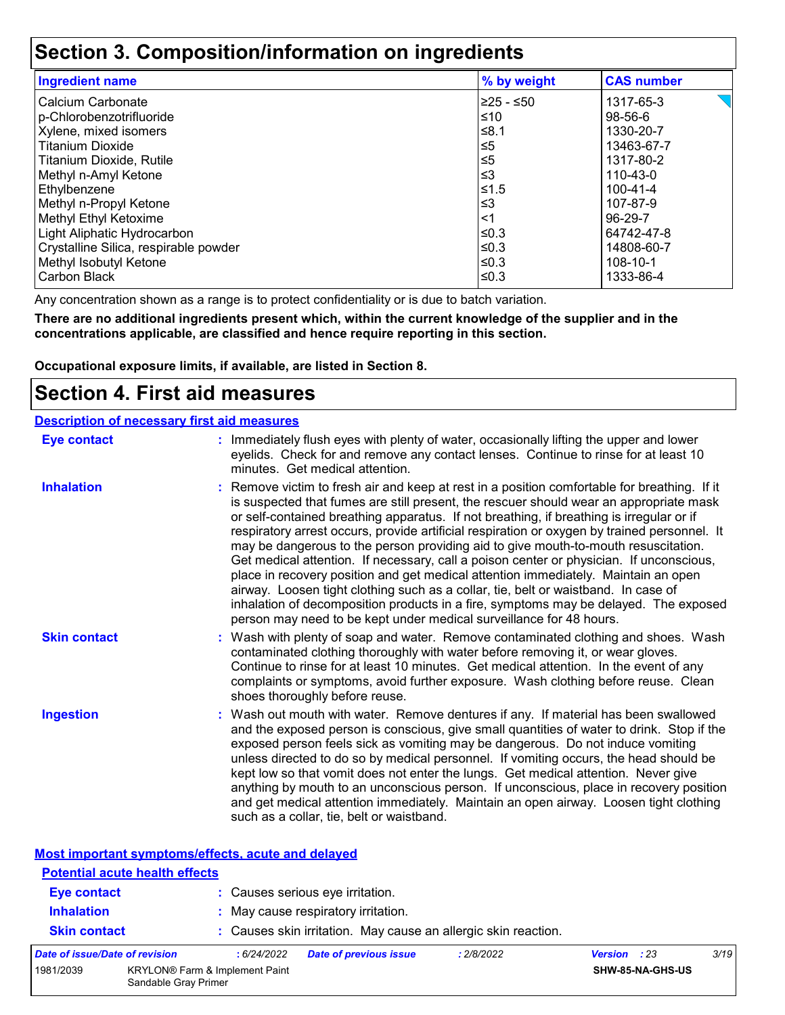### **Section 3. Composition/information on ingredients**

| <b>Ingredient name</b>                | % by weight | <b>CAS number</b> |
|---------------------------------------|-------------|-------------------|
| Calcium Carbonate                     | l≥25 - ≤50  | 1317-65-3         |
| p-Chlorobenzotrifluoride              | ≤10         | 98-56-6           |
| Xylene, mixed isomers                 | ≤8.1        | 1330-20-7         |
| <b>Titanium Dioxide</b>               | $\leq 5$    | 13463-67-7        |
| Titanium Dioxide, Rutile              | $\leq 5$    | 1317-80-2         |
| Methyl n-Amyl Ketone                  | $\leq$ 3    | 110-43-0          |
| Ethylbenzene                          | $≤1.5$      | 100-41-4          |
| Methyl n-Propyl Ketone                | $\leq$ 3    | 107-87-9          |
| Methyl Ethyl Ketoxime                 | $<$ 1       | 96-29-7           |
| Light Aliphatic Hydrocarbon           | l≤0.3       | 64742-47-8        |
| Crystalline Silica, respirable powder | l≤0.3       | 14808-60-7        |
| Methyl Isobutyl Ketone                | l≤0.3       | 108-10-1          |
| Carbon Black                          | ≤0.3        | 1333-86-4         |

Any concentration shown as a range is to protect confidentiality or is due to batch variation.

**There are no additional ingredients present which, within the current knowledge of the supplier and in the concentrations applicable, are classified and hence require reporting in this section.**

**Occupational exposure limits, if available, are listed in Section 8.**

### **Section 4. First aid measures**

| <b>Description of necessary first aid measures</b> |                                                                                                                                                                                                                                                                                                                                                                                                                                                                                                                                                                                                                                                                                                                                                                                                                                                                                                                |
|----------------------------------------------------|----------------------------------------------------------------------------------------------------------------------------------------------------------------------------------------------------------------------------------------------------------------------------------------------------------------------------------------------------------------------------------------------------------------------------------------------------------------------------------------------------------------------------------------------------------------------------------------------------------------------------------------------------------------------------------------------------------------------------------------------------------------------------------------------------------------------------------------------------------------------------------------------------------------|
| Eye contact                                        | : Immediately flush eyes with plenty of water, occasionally lifting the upper and lower<br>eyelids. Check for and remove any contact lenses. Continue to rinse for at least 10<br>minutes. Get medical attention.                                                                                                                                                                                                                                                                                                                                                                                                                                                                                                                                                                                                                                                                                              |
| <b>Inhalation</b>                                  | : Remove victim to fresh air and keep at rest in a position comfortable for breathing. If it<br>is suspected that fumes are still present, the rescuer should wear an appropriate mask<br>or self-contained breathing apparatus. If not breathing, if breathing is irregular or if<br>respiratory arrest occurs, provide artificial respiration or oxygen by trained personnel. It<br>may be dangerous to the person providing aid to give mouth-to-mouth resuscitation.<br>Get medical attention. If necessary, call a poison center or physician. If unconscious,<br>place in recovery position and get medical attention immediately. Maintain an open<br>airway. Loosen tight clothing such as a collar, tie, belt or waistband. In case of<br>inhalation of decomposition products in a fire, symptoms may be delayed. The exposed<br>person may need to be kept under medical surveillance for 48 hours. |
| <b>Skin contact</b>                                | : Wash with plenty of soap and water. Remove contaminated clothing and shoes. Wash<br>contaminated clothing thoroughly with water before removing it, or wear gloves.<br>Continue to rinse for at least 10 minutes. Get medical attention. In the event of any<br>complaints or symptoms, avoid further exposure. Wash clothing before reuse. Clean<br>shoes thoroughly before reuse.                                                                                                                                                                                                                                                                                                                                                                                                                                                                                                                          |
| <b>Ingestion</b>                                   | : Wash out mouth with water. Remove dentures if any. If material has been swallowed<br>and the exposed person is conscious, give small quantities of water to drink. Stop if the<br>exposed person feels sick as vomiting may be dangerous. Do not induce vomiting<br>unless directed to do so by medical personnel. If vomiting occurs, the head should be<br>kept low so that vomit does not enter the lungs. Get medical attention. Never give<br>anything by mouth to an unconscious person. If unconscious, place in recovery position<br>and get medical attention immediately. Maintain an open airway. Loosen tight clothing<br>such as a collar, tie, belt or waistband.                                                                                                                                                                                                                              |

|--|

| <b>Potential acute health effects</b> |                      |                                |                                                                |            |                     |                  |      |
|---------------------------------------|----------------------|--------------------------------|----------------------------------------------------------------|------------|---------------------|------------------|------|
| <b>Eye contact</b>                    |                      |                                | : Causes serious eye irritation.                               |            |                     |                  |      |
| <b>Inhalation</b>                     |                      |                                | : May cause respiratory irritation.                            |            |                     |                  |      |
| <b>Skin contact</b>                   |                      |                                | : Causes skin irritation. May cause an allergic skin reaction. |            |                     |                  |      |
| Date of issue/Date of revision        |                      | : 6/24/2022                    | <b>Date of previous issue</b>                                  | : 2/8/2022 | <b>Version</b> : 23 |                  | 3/19 |
| 1981/2039                             | Sandable Gray Primer | KRYLON® Farm & Implement Paint |                                                                |            |                     | SHW-85-NA-GHS-US |      |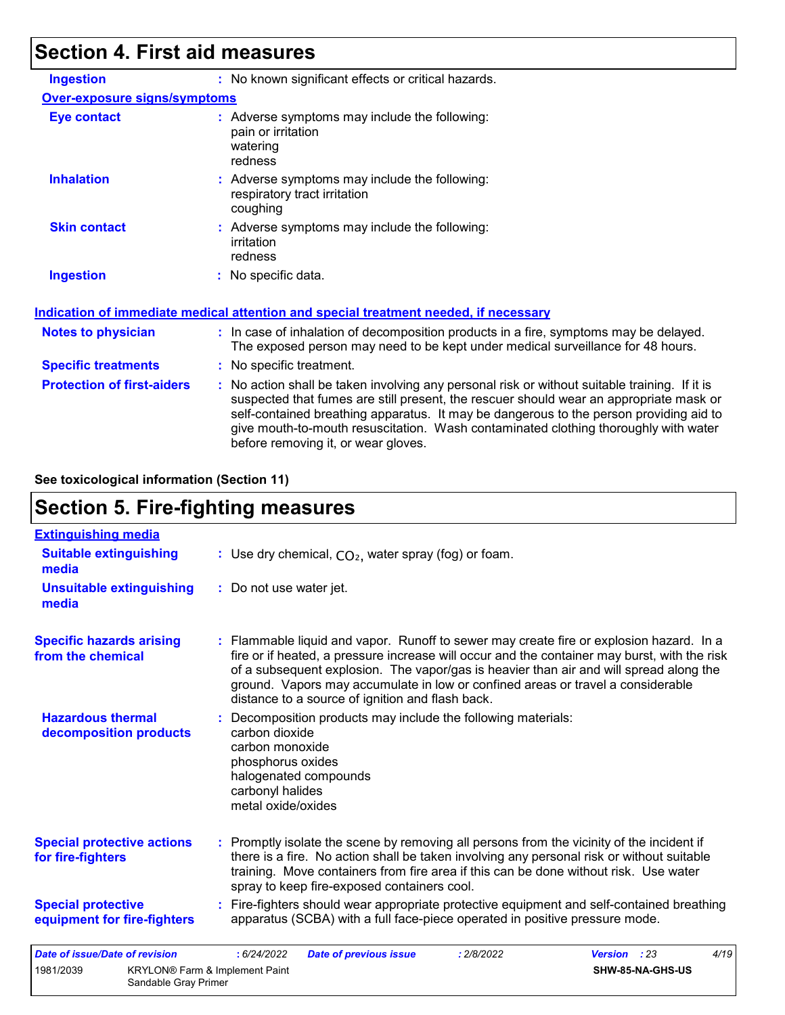# **Section 4. First aid measures**

| <b>Ingestion</b>                  | : No known significant effects or critical hazards.                                                                                                                                                                                                                                                                                                                                                             |
|-----------------------------------|-----------------------------------------------------------------------------------------------------------------------------------------------------------------------------------------------------------------------------------------------------------------------------------------------------------------------------------------------------------------------------------------------------------------|
| Over-exposure signs/symptoms      |                                                                                                                                                                                                                                                                                                                                                                                                                 |
| <b>Eye contact</b>                | : Adverse symptoms may include the following:<br>pain or irritation<br>watering<br>redness                                                                                                                                                                                                                                                                                                                      |
| <b>Inhalation</b>                 | : Adverse symptoms may include the following:<br>respiratory tract irritation<br>coughing                                                                                                                                                                                                                                                                                                                       |
| <b>Skin contact</b>               | : Adverse symptoms may include the following:<br>irritation<br>redness                                                                                                                                                                                                                                                                                                                                          |
| <b>Ingestion</b>                  | : No specific data.                                                                                                                                                                                                                                                                                                                                                                                             |
|                                   | <b>Indication of immediate medical attention and special treatment needed, if necessary</b>                                                                                                                                                                                                                                                                                                                     |
| <b>Notes to physician</b>         | : In case of inhalation of decomposition products in a fire, symptoms may be delayed.<br>The exposed person may need to be kept under medical surveillance for 48 hours.                                                                                                                                                                                                                                        |
| <b>Specific treatments</b>        | : No specific treatment.                                                                                                                                                                                                                                                                                                                                                                                        |
| <b>Protection of first-aiders</b> | : No action shall be taken involving any personal risk or without suitable training. If it is<br>suspected that fumes are still present, the rescuer should wear an appropriate mask or<br>self-contained breathing apparatus. It may be dangerous to the person providing aid to<br>give mouth-to-mouth resuscitation. Wash contaminated clothing thoroughly with water<br>before removing it, or wear gloves. |
|                                   |                                                                                                                                                                                                                                                                                                                                                                                                                 |

#### **See toxicological information (Section 11)**

### **Section 5. Fire-fighting measures**

| <b>Extinguishing media</b>                               |                                                                                                                                                                                                                                                                                                                                                                                                                          |
|----------------------------------------------------------|--------------------------------------------------------------------------------------------------------------------------------------------------------------------------------------------------------------------------------------------------------------------------------------------------------------------------------------------------------------------------------------------------------------------------|
| <b>Suitable extinguishing</b><br>media                   | : Use dry chemical, $CO2$ , water spray (fog) or foam.                                                                                                                                                                                                                                                                                                                                                                   |
| <b>Unsuitable extinguishing</b><br>media                 | : Do not use water jet.                                                                                                                                                                                                                                                                                                                                                                                                  |
| <b>Specific hazards arising</b><br>from the chemical     | : Flammable liquid and vapor. Runoff to sewer may create fire or explosion hazard. In a<br>fire or if heated, a pressure increase will occur and the container may burst, with the risk<br>of a subsequent explosion. The vapor/gas is heavier than air and will spread along the<br>ground. Vapors may accumulate in low or confined areas or travel a considerable<br>distance to a source of ignition and flash back. |
| <b>Hazardous thermal</b><br>decomposition products       | : Decomposition products may include the following materials:<br>carbon dioxide<br>carbon monoxide<br>phosphorus oxides<br>halogenated compounds<br>carbonyl halides<br>metal oxide/oxides                                                                                                                                                                                                                               |
| <b>Special protective actions</b><br>for fire-fighters   | : Promptly isolate the scene by removing all persons from the vicinity of the incident if<br>there is a fire. No action shall be taken involving any personal risk or without suitable<br>training. Move containers from fire area if this can be done without risk. Use water<br>spray to keep fire-exposed containers cool.                                                                                            |
| <b>Special protective</b><br>equipment for fire-fighters | : Fire-fighters should wear appropriate protective equipment and self-contained breathing<br>apparatus (SCBA) with a full face-piece operated in positive pressure mode.                                                                                                                                                                                                                                                 |
| <b>Date of issue/Date of revision</b>                    | 4/19<br>: 6/24/2022<br>: 2/8/2022<br>Version : 23<br><b>Date of previous issue</b>                                                                                                                                                                                                                                                                                                                                       |
| 1981/2039<br>Sandable Gray Primer                        | SHW-85-NA-GHS-US<br><b>KRYLON®</b> Farm & Implement Paint                                                                                                                                                                                                                                                                                                                                                                |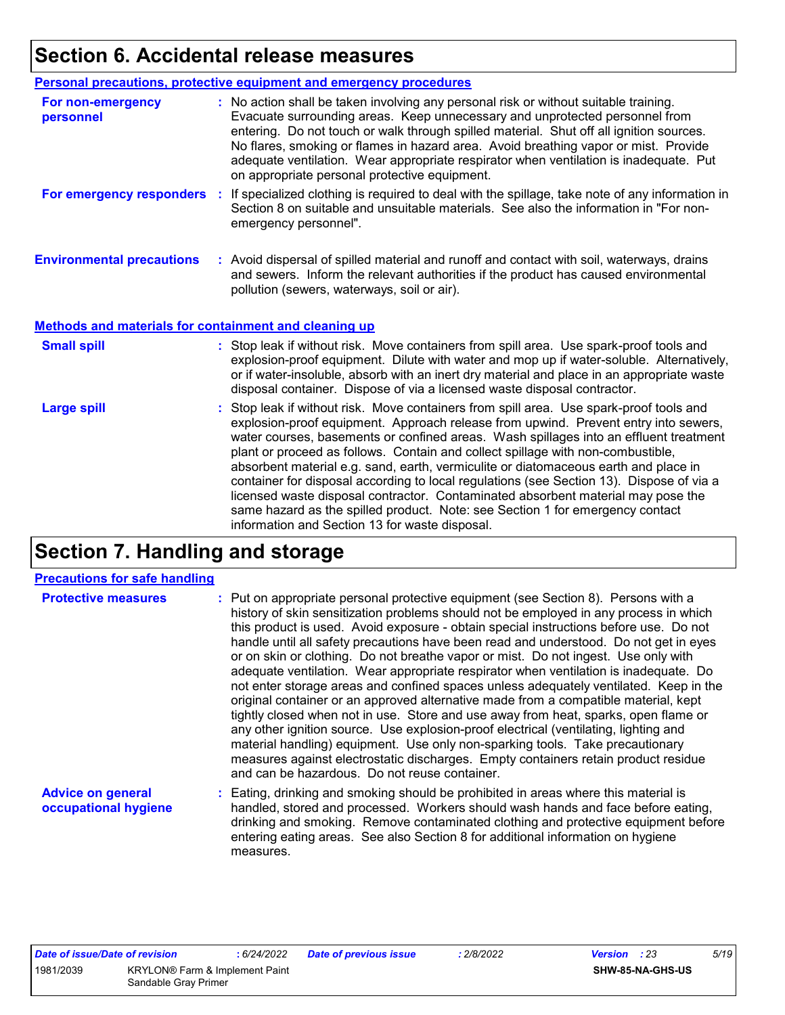# **Section 6. Accidental release measures**

|                                                              | Personal precautions, protective equipment and emergency procedures                                                                                                                                                                                                                                                                                                                                                                                                                             |
|--------------------------------------------------------------|-------------------------------------------------------------------------------------------------------------------------------------------------------------------------------------------------------------------------------------------------------------------------------------------------------------------------------------------------------------------------------------------------------------------------------------------------------------------------------------------------|
| For non-emergency<br>personnel                               | : No action shall be taken involving any personal risk or without suitable training.<br>Evacuate surrounding areas. Keep unnecessary and unprotected personnel from<br>entering. Do not touch or walk through spilled material. Shut off all ignition sources.<br>No flares, smoking or flames in hazard area. Avoid breathing vapor or mist. Provide<br>adequate ventilation. Wear appropriate respirator when ventilation is inadequate. Put<br>on appropriate personal protective equipment. |
| For emergency responders                                     | : If specialized clothing is required to deal with the spillage, take note of any information in<br>Section 8 on suitable and unsuitable materials. See also the information in "For non-<br>emergency personnel".                                                                                                                                                                                                                                                                              |
| <b>Environmental precautions</b>                             | : Avoid dispersal of spilled material and runoff and contact with soil, waterways, drains<br>and sewers. Inform the relevant authorities if the product has caused environmental<br>pollution (sewers, waterways, soil or air).                                                                                                                                                                                                                                                                 |
| <b>Methods and materials for containment and cleaning up</b> |                                                                                                                                                                                                                                                                                                                                                                                                                                                                                                 |
| <b>Small spill</b>                                           | : Stop leak if without risk. Move containers from spill area. Use spark-proof tools and<br>explosion-proof equipment. Dilute with water and mop up if water-soluble. Alternatively,<br>or if water-insoluble, absorb with an inert dry material and place in an appropriate waste                                                                                                                                                                                                               |
|                                                              | disposal container. Dispose of via a licensed waste disposal contractor.                                                                                                                                                                                                                                                                                                                                                                                                                        |

# **Section 7. Handling and storage**

measures.

#### **Precautions for safe handling**

| <b>Protective measures</b>                       | : Put on appropriate personal protective equipment (see Section 8). Persons with a<br>history of skin sensitization problems should not be employed in any process in which<br>this product is used. Avoid exposure - obtain special instructions before use. Do not<br>handle until all safety precautions have been read and understood. Do not get in eyes<br>or on skin or clothing. Do not breathe vapor or mist. Do not ingest. Use only with<br>adequate ventilation. Wear appropriate respirator when ventilation is inadequate. Do<br>not enter storage areas and confined spaces unless adequately ventilated. Keep in the<br>original container or an approved alternative made from a compatible material, kept |
|--------------------------------------------------|-----------------------------------------------------------------------------------------------------------------------------------------------------------------------------------------------------------------------------------------------------------------------------------------------------------------------------------------------------------------------------------------------------------------------------------------------------------------------------------------------------------------------------------------------------------------------------------------------------------------------------------------------------------------------------------------------------------------------------|
|                                                  | tightly closed when not in use. Store and use away from heat, sparks, open flame or<br>any other ignition source. Use explosion-proof electrical (ventilating, lighting and<br>material handling) equipment. Use only non-sparking tools. Take precautionary<br>measures against electrostatic discharges. Empty containers retain product residue<br>and can be hazardous. Do not reuse container.                                                                                                                                                                                                                                                                                                                         |
| <b>Advice on general</b><br>occupational hygiene | : Eating, drinking and smoking should be prohibited in areas where this material is<br>handled, stored and processed. Workers should wash hands and face before eating,<br>drinking and smoking. Remove contaminated clothing and protective equipment before<br>entering eating areas. See also Section 8 for additional information on hygiene                                                                                                                                                                                                                                                                                                                                                                            |

| Date of issue/Date of revision |                                                        | 6/24/2022 | Date of previous issue | 2/8/2022 | <b>Version</b> : 23 | 5/19 |
|--------------------------------|--------------------------------------------------------|-----------|------------------------|----------|---------------------|------|
| 1981/2039                      | KRYLON® Farm & Implement Paint<br>Sandable Gray Primer |           |                        |          | SHW-85-NA-GHS-US    |      |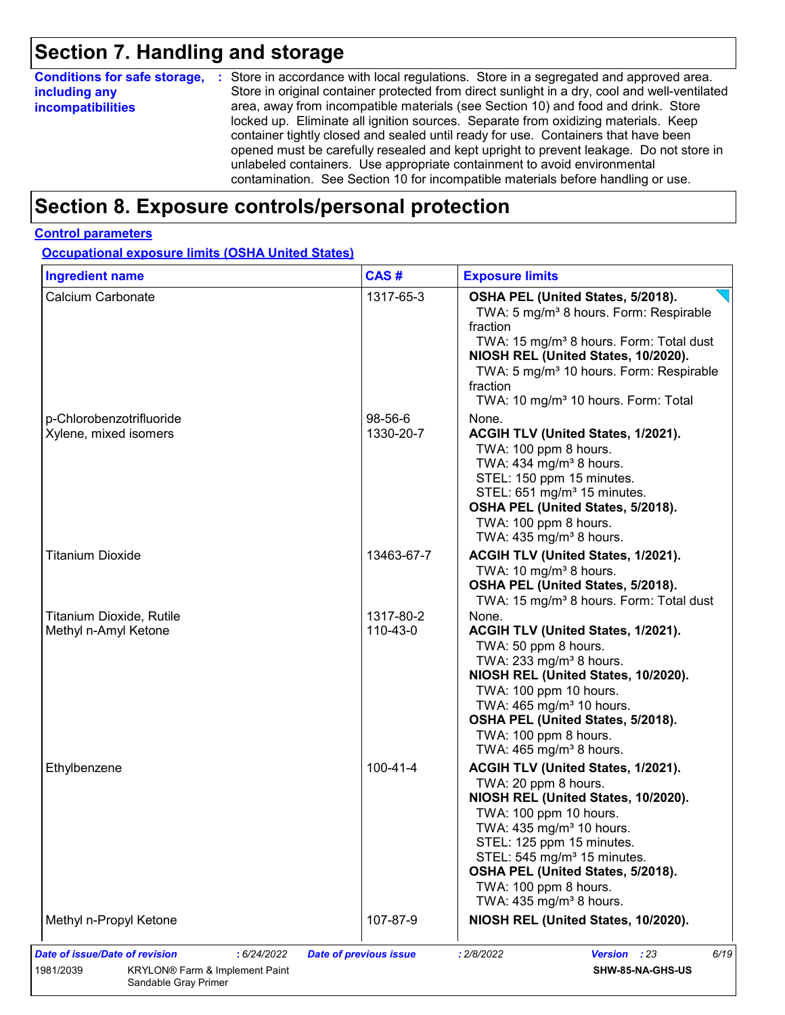# **Section 7. Handling and storage**

| <b>Conditions for safe storage,</b> | : Store in accordance with local regulations. Store in a segregated and approved area.        |
|-------------------------------------|-----------------------------------------------------------------------------------------------|
| including any                       | Store in original container protected from direct sunlight in a dry, cool and well-ventilated |
| <i>incompatibilities</i>            | area, away from incompatible materials (see Section 10) and food and drink. Store             |
|                                     | locked up. Eliminate all ignition sources. Separate from oxidizing materials. Keep            |
|                                     | container tightly closed and sealed until ready for use. Containers that have been            |
|                                     | opened must be carefully resealed and kept upright to prevent leakage. Do not store in        |
|                                     | unlabeled containers. Use appropriate containment to avoid environmental                      |
|                                     | contamination. See Section 10 for incompatible materials before handling or use.              |

### **Section 8. Exposure controls/personal protection**

#### **Control parameters**

**Occupational exposure limits (OSHA United States)**

| Calcium Carbonate<br>p-Chlorobenzotrifluoride<br>Xylene, mixed isomers | 1317-65-3<br>98-56-6  | OSHA PEL (United States, 5/2018).<br>TWA: 5 mg/m <sup>3</sup> 8 hours. Form: Respirable<br>fraction<br>TWA: 15 mg/m <sup>3</sup> 8 hours. Form: Total dust<br>NIOSH REL (United States, 10/2020).<br>TWA: 5 mg/m <sup>3</sup> 10 hours. Form: Respirable<br>fraction<br>TWA: 10 mg/m <sup>3</sup> 10 hours. Form: Total                         |
|------------------------------------------------------------------------|-----------------------|-------------------------------------------------------------------------------------------------------------------------------------------------------------------------------------------------------------------------------------------------------------------------------------------------------------------------------------------------|
|                                                                        |                       |                                                                                                                                                                                                                                                                                                                                                 |
|                                                                        | 1330-20-7             | None.<br>ACGIH TLV (United States, 1/2021).<br>TWA: 100 ppm 8 hours.<br>TWA: 434 mg/m <sup>3</sup> 8 hours.<br>STEL: 150 ppm 15 minutes.                                                                                                                                                                                                        |
|                                                                        |                       | STEL: 651 mg/m <sup>3</sup> 15 minutes.<br>OSHA PEL (United States, 5/2018).<br>TWA: 100 ppm 8 hours.<br>TWA: 435 mg/m <sup>3</sup> 8 hours.                                                                                                                                                                                                    |
| <b>Titanium Dioxide</b>                                                | 13463-67-7            | ACGIH TLV (United States, 1/2021).<br>TWA: 10 mg/m <sup>3</sup> 8 hours.<br>OSHA PEL (United States, 5/2018).<br>TWA: 15 mg/m <sup>3</sup> 8 hours. Form: Total dust                                                                                                                                                                            |
| Titanium Dioxide, Rutile<br>Methyl n-Amyl Ketone                       | 1317-80-2<br>110-43-0 | None.<br>ACGIH TLV (United States, 1/2021).<br>TWA: 50 ppm 8 hours.<br>TWA: 233 mg/m <sup>3</sup> 8 hours.<br>NIOSH REL (United States, 10/2020).<br>TWA: 100 ppm 10 hours.<br>TWA: 465 mg/m <sup>3</sup> 10 hours.<br>OSHA PEL (United States, 5/2018).<br>TWA: 100 ppm 8 hours.<br>TWA: $465$ mg/m <sup>3</sup> 8 hours.                      |
| Ethylbenzene                                                           | $100 - 41 - 4$        | ACGIH TLV (United States, 1/2021).<br>TWA: 20 ppm 8 hours.<br>NIOSH REL (United States, 10/2020).<br>TWA: 100 ppm 10 hours.<br>TWA: 435 mg/m <sup>3</sup> 10 hours.<br>STEL: 125 ppm 15 minutes.<br>STEL: 545 mg/m <sup>3</sup> 15 minutes.<br>OSHA PEL (United States, 5/2018).<br>TWA: 100 ppm 8 hours.<br>TWA: $435 \text{ mg/m}^3$ 8 hours. |
| Methyl n-Propyl Ketone                                                 | 107-87-9              | NIOSH REL (United States, 10/2020).                                                                                                                                                                                                                                                                                                             |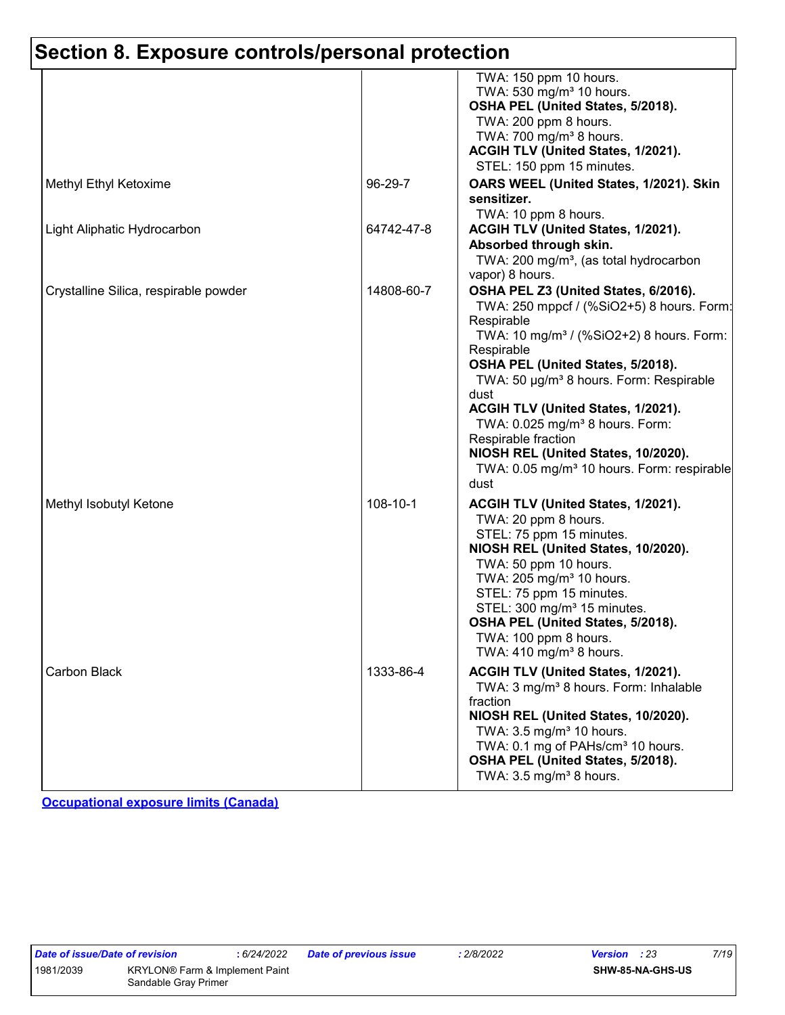|                                       |            | TWA: 150 ppm 10 hours.<br>TWA: 530 mg/m <sup>3</sup> 10 hours.<br>OSHA PEL (United States, 5/2018).<br>TWA: 200 ppm 8 hours.<br>TWA: 700 mg/m <sup>3</sup> 8 hours.<br>ACGIH TLV (United States, 1/2021).<br>STEL: 150 ppm 15 minutes.                                                                                                                                                                                                                                                         |
|---------------------------------------|------------|------------------------------------------------------------------------------------------------------------------------------------------------------------------------------------------------------------------------------------------------------------------------------------------------------------------------------------------------------------------------------------------------------------------------------------------------------------------------------------------------|
| Methyl Ethyl Ketoxime                 | 96-29-7    | OARS WEEL (United States, 1/2021). Skin<br>sensitizer.<br>TWA: 10 ppm 8 hours.                                                                                                                                                                                                                                                                                                                                                                                                                 |
| Light Aliphatic Hydrocarbon           | 64742-47-8 | ACGIH TLV (United States, 1/2021).<br>Absorbed through skin.<br>TWA: 200 mg/m <sup>3</sup> , (as total hydrocarbon<br>vapor) 8 hours.                                                                                                                                                                                                                                                                                                                                                          |
| Crystalline Silica, respirable powder | 14808-60-7 | OSHA PEL Z3 (United States, 6/2016).<br>TWA: 250 mppcf / (%SiO2+5) 8 hours. Form:<br>Respirable<br>TWA: 10 mg/m <sup>3</sup> / (%SiO2+2) 8 hours. Form:<br>Respirable<br>OSHA PEL (United States, 5/2018).<br>TWA: 50 µg/m <sup>3</sup> 8 hours. Form: Respirable<br>dust<br>ACGIH TLV (United States, 1/2021).<br>TWA: 0.025 mg/m <sup>3</sup> 8 hours. Form:<br>Respirable fraction<br>NIOSH REL (United States, 10/2020).<br>TWA: 0.05 mg/m <sup>3</sup> 10 hours. Form: respirable<br>dust |
| Methyl Isobutyl Ketone                | 108-10-1   | ACGIH TLV (United States, 1/2021).<br>TWA: 20 ppm 8 hours.<br>STEL: 75 ppm 15 minutes.<br>NIOSH REL (United States, 10/2020).<br>TWA: 50 ppm 10 hours.<br>TWA: 205 mg/m <sup>3</sup> 10 hours.<br>STEL: 75 ppm 15 minutes.<br>STEL: 300 mg/m <sup>3</sup> 15 minutes.<br>OSHA PEL (United States, 5/2018).<br>TWA: 100 ppm 8 hours.<br>TWA: $410 \text{ mg/m}^3$ 8 hours.                                                                                                                      |
| Carbon Black                          | 1333-86-4  | ACGIH TLV (United States, 1/2021).<br>TWA: 3 mg/m <sup>3</sup> 8 hours. Form: Inhalable<br>fraction<br>NIOSH REL (United States, 10/2020).<br>TWA: 3.5 mg/m <sup>3</sup> 10 hours.<br>TWA: 0.1 mg of PAHs/cm <sup>3</sup> 10 hours.<br>OSHA PEL (United States, 5/2018).<br>TWA: $3.5 \text{ mg/m}^3$ 8 hours.                                                                                                                                                                                 |

**Occupational exposure limits (Canada)**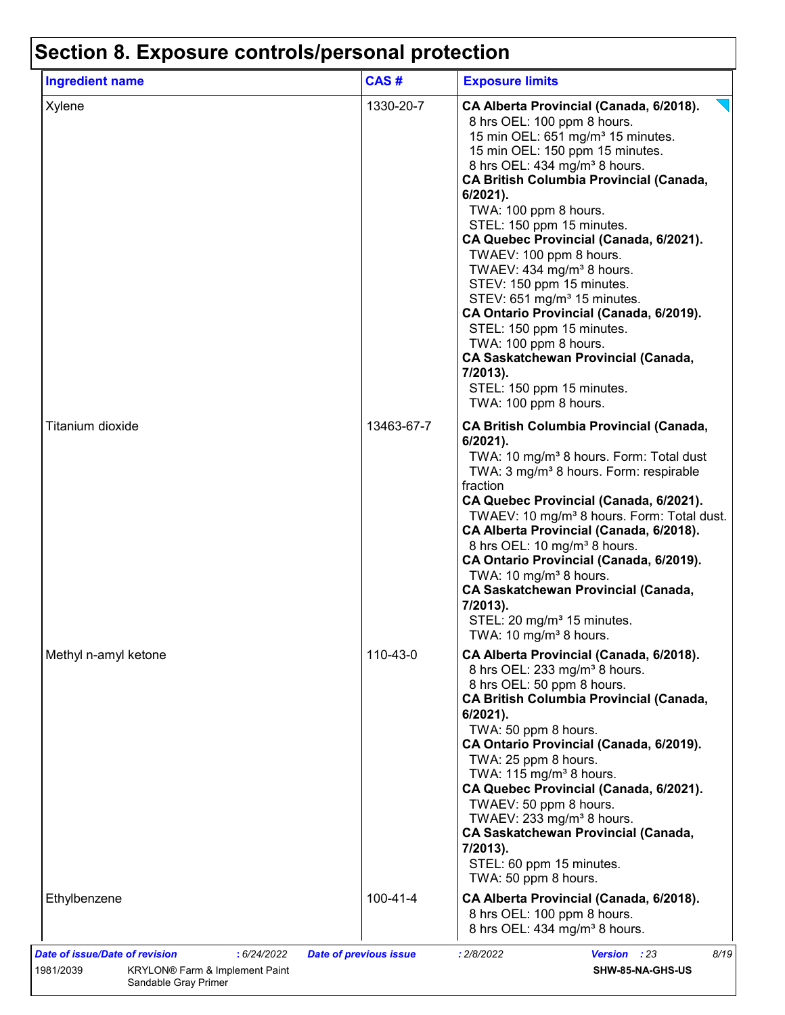| <b>Ingredient name</b> | CAS#       | <b>Exposure limits</b>                                                                                                                                                                                                                                                                                                                                                                                                                                                                                                                                                                                                                                                                                                                |
|------------------------|------------|---------------------------------------------------------------------------------------------------------------------------------------------------------------------------------------------------------------------------------------------------------------------------------------------------------------------------------------------------------------------------------------------------------------------------------------------------------------------------------------------------------------------------------------------------------------------------------------------------------------------------------------------------------------------------------------------------------------------------------------|
| Xylene                 | 1330-20-7  | CA Alberta Provincial (Canada, 6/2018).<br>8 hrs OEL: 100 ppm 8 hours.<br>15 min OEL: 651 mg/m <sup>3</sup> 15 minutes.<br>15 min OEL: 150 ppm 15 minutes.<br>8 hrs OEL: 434 mg/m <sup>3</sup> 8 hours.<br><b>CA British Columbia Provincial (Canada,</b><br>$6/2021$ ).<br>TWA: 100 ppm 8 hours.<br>STEL: 150 ppm 15 minutes.<br>CA Quebec Provincial (Canada, 6/2021).<br>TWAEV: 100 ppm 8 hours.<br>TWAEV: 434 mg/m <sup>3</sup> 8 hours.<br>STEV: 150 ppm 15 minutes.<br>STEV: 651 mg/m <sup>3</sup> 15 minutes.<br>CA Ontario Provincial (Canada, 6/2019).<br>STEL: 150 ppm 15 minutes.<br>TWA: 100 ppm 8 hours.<br><b>CA Saskatchewan Provincial (Canada,</b><br>7/2013).<br>STEL: 150 ppm 15 minutes.<br>TWA: 100 ppm 8 hours. |
| Titanium dioxide       | 13463-67-7 | <b>CA British Columbia Provincial (Canada,</b><br>6/2021).<br>TWA: 10 mg/m <sup>3</sup> 8 hours. Form: Total dust<br>TWA: 3 mg/m <sup>3</sup> 8 hours. Form: respirable<br>fraction<br>CA Quebec Provincial (Canada, 6/2021).<br>TWAEV: 10 mg/m <sup>3</sup> 8 hours. Form: Total dust.<br>CA Alberta Provincial (Canada, 6/2018).<br>8 hrs OEL: 10 mg/m <sup>3</sup> 8 hours.<br>CA Ontario Provincial (Canada, 6/2019).<br>TWA: 10 mg/m <sup>3</sup> 8 hours.<br><b>CA Saskatchewan Provincial (Canada,</b><br>7/2013).<br>STEL: 20 mg/m <sup>3</sup> 15 minutes.<br>TWA: 10 mg/m <sup>3</sup> 8 hours.                                                                                                                             |
| Methyl n-amyl ketone   | 110-43-0   | CA Alberta Provincial (Canada, 6/2018).<br>8 hrs OEL: 233 mg/m <sup>3</sup> 8 hours.<br>8 hrs OEL: 50 ppm 8 hours.<br><b>CA British Columbia Provincial (Canada,</b><br>6/2021).<br>TWA: 50 ppm 8 hours.<br>CA Ontario Provincial (Canada, 6/2019).<br>TWA: 25 ppm 8 hours.<br>TWA: 115 mg/m <sup>3</sup> 8 hours.<br>CA Quebec Provincial (Canada, 6/2021).<br>TWAEV: 50 ppm 8 hours.<br>TWAEV: 233 mg/m <sup>3</sup> 8 hours.<br>CA Saskatchewan Provincial (Canada,<br>7/2013).<br>STEL: 60 ppm 15 minutes.<br>TWA: 50 ppm 8 hours.                                                                                                                                                                                                |
| Ethylbenzene           | 100-41-4   | CA Alberta Provincial (Canada, 6/2018).<br>8 hrs OEL: 100 ppm 8 hours.<br>8 hrs OEL: 434 mg/m <sup>3</sup> 8 hours.                                                                                                                                                                                                                                                                                                                                                                                                                                                                                                                                                                                                                   |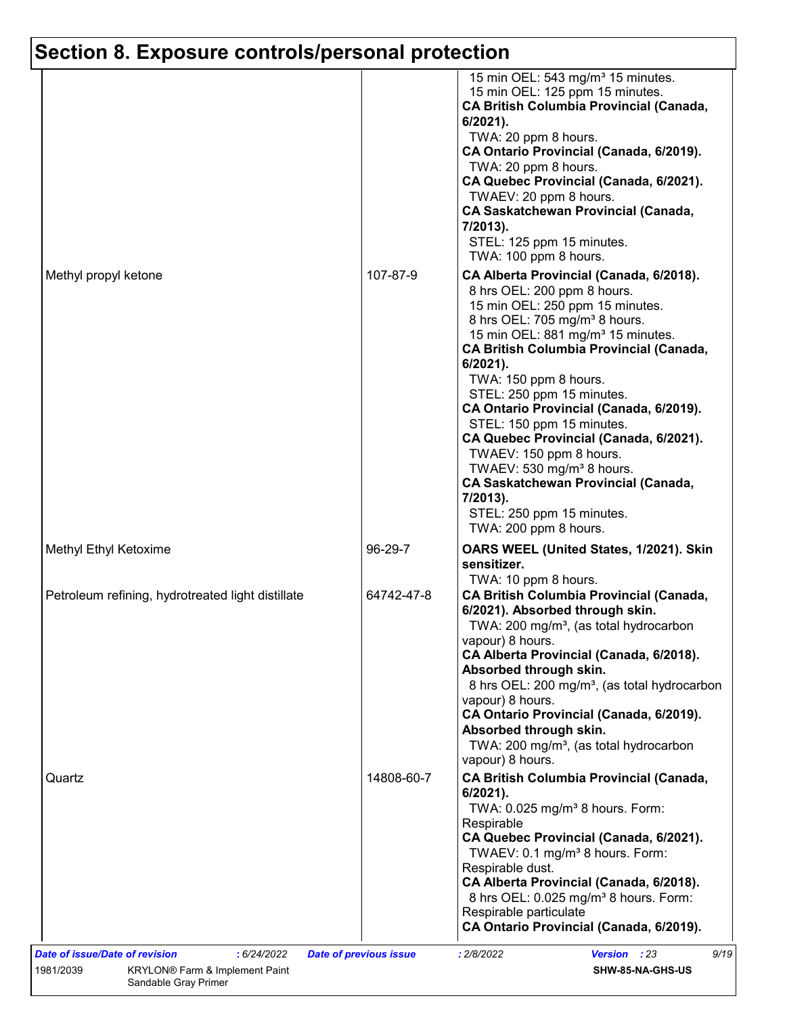|                                                   |            | 15 min OEL: 543 mg/m <sup>3</sup> 15 minutes.<br>15 min OEL: 125 ppm 15 minutes.<br><b>CA British Columbia Provincial (Canada,</b><br>$6/2021$ ).<br>TWA: 20 ppm 8 hours.<br>CA Ontario Provincial (Canada, 6/2019).<br>TWA: 20 ppm 8 hours.<br>CA Quebec Provincial (Canada, 6/2021).<br>TWAEV: 20 ppm 8 hours.<br><b>CA Saskatchewan Provincial (Canada,</b><br>7/2013).<br>STEL: 125 ppm 15 minutes.<br>TWA: 100 ppm 8 hours.                                                                                                                                                                                                  |
|---------------------------------------------------|------------|-----------------------------------------------------------------------------------------------------------------------------------------------------------------------------------------------------------------------------------------------------------------------------------------------------------------------------------------------------------------------------------------------------------------------------------------------------------------------------------------------------------------------------------------------------------------------------------------------------------------------------------|
| Methyl propyl ketone                              | 107-87-9   | CA Alberta Provincial (Canada, 6/2018).<br>8 hrs OEL: 200 ppm 8 hours.<br>15 min OEL: 250 ppm 15 minutes.<br>8 hrs OEL: 705 mg/m <sup>3</sup> 8 hours.<br>15 min OEL: 881 mg/m <sup>3</sup> 15 minutes.<br><b>CA British Columbia Provincial (Canada,</b><br>6/2021).<br>TWA: 150 ppm 8 hours.<br>STEL: 250 ppm 15 minutes.<br>CA Ontario Provincial (Canada, 6/2019).<br>STEL: 150 ppm 15 minutes.<br>CA Quebec Provincial (Canada, 6/2021).<br>TWAEV: 150 ppm 8 hours.<br>TWAEV: 530 mg/m <sup>3</sup> 8 hours.<br><b>CA Saskatchewan Provincial (Canada,</b><br>7/2013).<br>STEL: 250 ppm 15 minutes.<br>TWA: 200 ppm 8 hours. |
| Methyl Ethyl Ketoxime                             | 96-29-7    | OARS WEEL (United States, 1/2021). Skin<br>sensitizer.                                                                                                                                                                                                                                                                                                                                                                                                                                                                                                                                                                            |
| Petroleum refining, hydrotreated light distillate | 64742-47-8 | TWA: 10 ppm 8 hours.<br><b>CA British Columbia Provincial (Canada,</b><br>6/2021). Absorbed through skin.<br>TWA: 200 mg/m <sup>3</sup> , (as total hydrocarbon<br>vapour) 8 hours.<br>CA Alberta Provincial (Canada, 6/2018).<br>Absorbed through skin.<br>8 hrs OEL: 200 mg/m <sup>3</sup> , (as total hydrocarbon<br>vapour) 8 hours.<br>CA Ontario Provincial (Canada, 6/2019).<br>Absorbed through skin.<br>TWA: 200 mg/m <sup>3</sup> , (as total hydrocarbon<br>vapour) 8 hours.                                                                                                                                           |
| Quartz                                            | 14808-60-7 | <b>CA British Columbia Provincial (Canada,</b><br>6/2021).<br>TWA: 0.025 mg/m <sup>3</sup> 8 hours. Form:<br>Respirable<br>CA Quebec Provincial (Canada, 6/2021).<br>TWAEV: 0.1 mg/m <sup>3</sup> 8 hours. Form:<br>Respirable dust.<br>CA Alberta Provincial (Canada, 6/2018).<br>8 hrs OEL: 0.025 mg/m <sup>3</sup> 8 hours. Form:<br>Respirable particulate<br>CA Ontario Provincial (Canada, 6/2019).                                                                                                                                                                                                                         |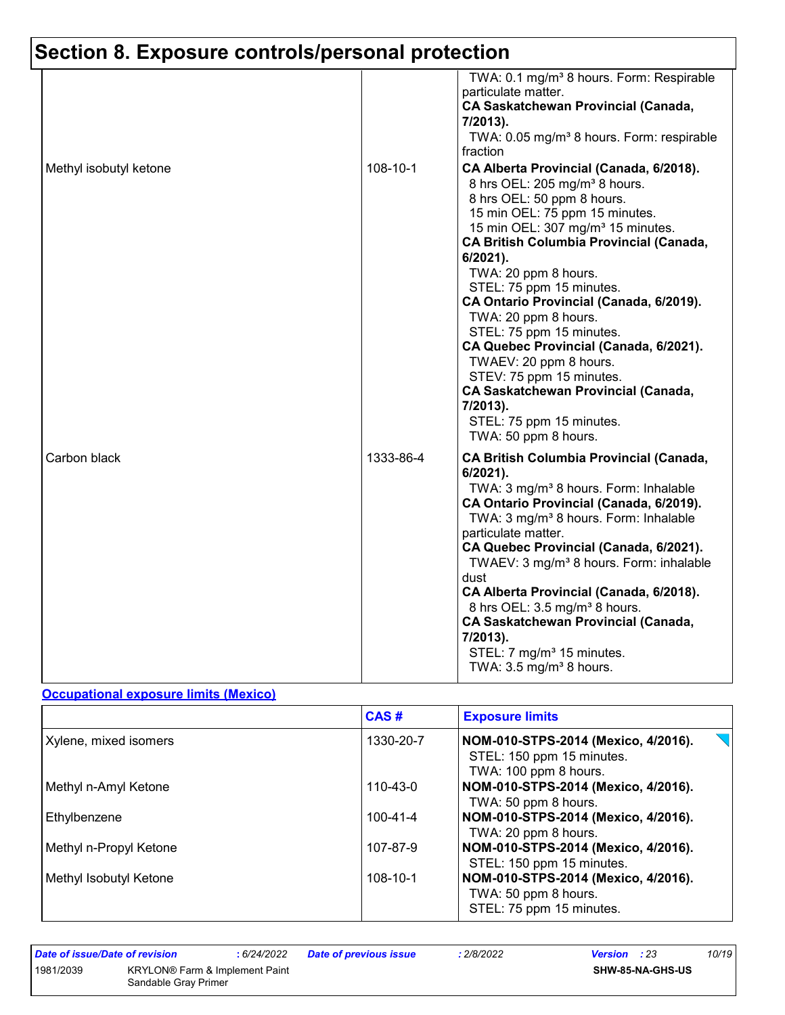|                        |           | TWA: 0.1 mg/m <sup>3</sup> 8 hours. Form: Respirable<br>particulate matter.<br><b>CA Saskatchewan Provincial (Canada,</b><br>7/2013).<br>TWA: 0.05 mg/m <sup>3</sup> 8 hours. Form: respirable<br>fraction                                                                                                                                                                                                                                                                                                                                                                                                                           |
|------------------------|-----------|--------------------------------------------------------------------------------------------------------------------------------------------------------------------------------------------------------------------------------------------------------------------------------------------------------------------------------------------------------------------------------------------------------------------------------------------------------------------------------------------------------------------------------------------------------------------------------------------------------------------------------------|
| Methyl isobutyl ketone | 108-10-1  | CA Alberta Provincial (Canada, 6/2018).<br>8 hrs OEL: 205 mg/m <sup>3</sup> 8 hours.<br>8 hrs OEL: 50 ppm 8 hours.<br>15 min OEL: 75 ppm 15 minutes.<br>15 min OEL: 307 mg/m <sup>3</sup> 15 minutes.<br><b>CA British Columbia Provincial (Canada,</b><br>6/2021).<br>TWA: 20 ppm 8 hours.<br>STEL: 75 ppm 15 minutes.<br>CA Ontario Provincial (Canada, 6/2019).<br>TWA: 20 ppm 8 hours.<br>STEL: 75 ppm 15 minutes.<br>CA Quebec Provincial (Canada, 6/2021).<br>TWAEV: 20 ppm 8 hours.<br>STEV: 75 ppm 15 minutes.<br><b>CA Saskatchewan Provincial (Canada,</b><br>7/2013).<br>STEL: 75 ppm 15 minutes.<br>TWA: 50 ppm 8 hours. |
| Carbon black           | 1333-86-4 | <b>CA British Columbia Provincial (Canada,</b><br>6/2021).<br>TWA: 3 mg/m <sup>3</sup> 8 hours. Form: Inhalable<br>CA Ontario Provincial (Canada, 6/2019).<br>TWA: 3 mg/m <sup>3</sup> 8 hours. Form: Inhalable<br>particulate matter.<br>CA Quebec Provincial (Canada, 6/2021).<br>TWAEV: 3 mg/m <sup>3</sup> 8 hours. Form: inhalable<br>dust<br>CA Alberta Provincial (Canada, 6/2018).<br>8 hrs OEL: 3.5 mg/m <sup>3</sup> 8 hours.<br><b>CA Saskatchewan Provincial (Canada,</b><br>7/2013).<br>STEL: 7 mg/m <sup>3</sup> 15 minutes.<br>TWA: $3.5 \text{ mg/m}^3$ 8 hours.                                                     |

#### **Occupational exposure limits (Mexico)**

|                        | CAS#           | <b>Exposure limits</b>                                                                    |
|------------------------|----------------|-------------------------------------------------------------------------------------------|
| Xylene, mixed isomers  | 1330-20-7      | NOM-010-STPS-2014 (Mexico, 4/2016).<br>STEL: 150 ppm 15 minutes.<br>TWA: 100 ppm 8 hours. |
| Methyl n-Amyl Ketone   | $110 - 43 - 0$ | NOM-010-STPS-2014 (Mexico, 4/2016).<br>TWA: 50 ppm 8 hours.                               |
| Ethylbenzene           | 100-41-4       | NOM-010-STPS-2014 (Mexico, 4/2016).<br>TWA: 20 ppm 8 hours.                               |
| Methyl n-Propyl Ketone | 107-87-9       | NOM-010-STPS-2014 (Mexico, 4/2016).<br>STEL: 150 ppm 15 minutes.                          |
| Methyl Isobutyl Ketone | $108 - 10 - 1$ | NOM-010-STPS-2014 (Mexico, 4/2016).<br>TWA: 50 ppm 8 hours.<br>STEL: 75 ppm 15 minutes.   |

1981/2039 KRYLON® Farm & Implement Paint Sandable Gray Primer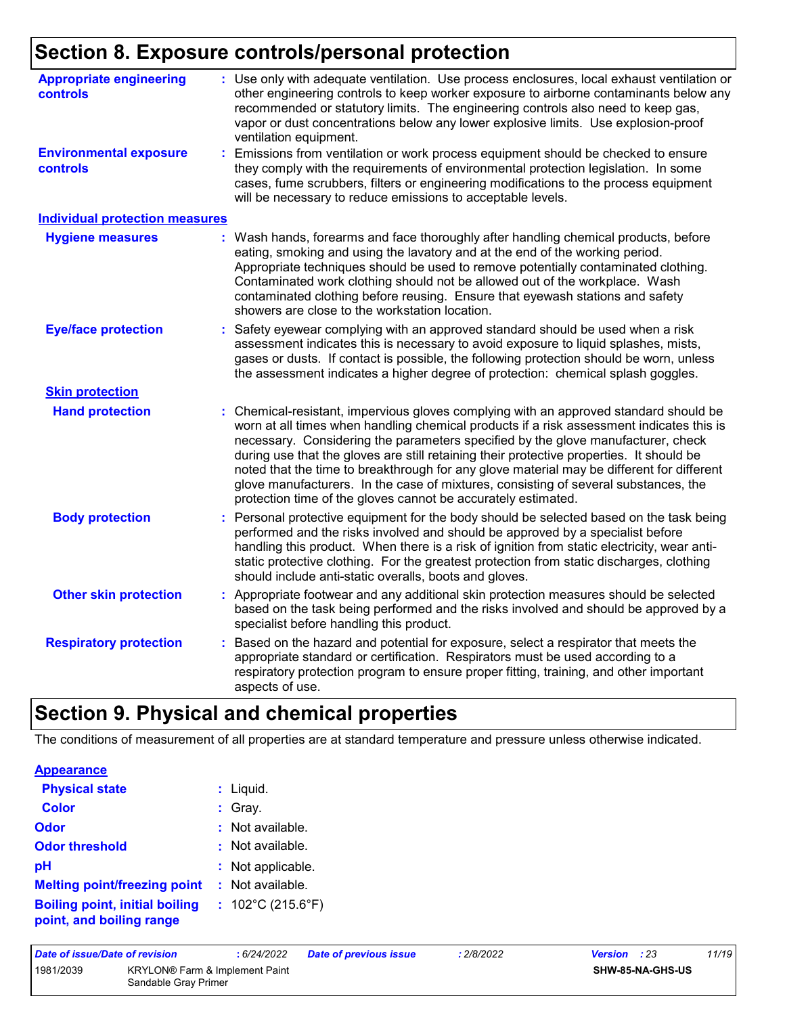| <b>Appropriate engineering</b><br>controls       | : Use only with adequate ventilation. Use process enclosures, local exhaust ventilation or<br>other engineering controls to keep worker exposure to airborne contaminants below any<br>recommended or statutory limits. The engineering controls also need to keep gas,<br>vapor or dust concentrations below any lower explosive limits. Use explosion-proof<br>ventilation equipment.                                                                                                                                                                                                                              |
|--------------------------------------------------|----------------------------------------------------------------------------------------------------------------------------------------------------------------------------------------------------------------------------------------------------------------------------------------------------------------------------------------------------------------------------------------------------------------------------------------------------------------------------------------------------------------------------------------------------------------------------------------------------------------------|
| <b>Environmental exposure</b><br><b>controls</b> | Emissions from ventilation or work process equipment should be checked to ensure<br>they comply with the requirements of environmental protection legislation. In some<br>cases, fume scrubbers, filters or engineering modifications to the process equipment<br>will be necessary to reduce emissions to acceptable levels.                                                                                                                                                                                                                                                                                        |
| <b>Individual protection measures</b>            |                                                                                                                                                                                                                                                                                                                                                                                                                                                                                                                                                                                                                      |
| <b>Hygiene measures</b>                          | : Wash hands, forearms and face thoroughly after handling chemical products, before<br>eating, smoking and using the lavatory and at the end of the working period.<br>Appropriate techniques should be used to remove potentially contaminated clothing.<br>Contaminated work clothing should not be allowed out of the workplace. Wash<br>contaminated clothing before reusing. Ensure that eyewash stations and safety<br>showers are close to the workstation location.                                                                                                                                          |
| <b>Eye/face protection</b>                       | Safety eyewear complying with an approved standard should be used when a risk<br>assessment indicates this is necessary to avoid exposure to liquid splashes, mists,<br>gases or dusts. If contact is possible, the following protection should be worn, unless<br>the assessment indicates a higher degree of protection: chemical splash goggles.                                                                                                                                                                                                                                                                  |
| <b>Skin protection</b>                           |                                                                                                                                                                                                                                                                                                                                                                                                                                                                                                                                                                                                                      |
| <b>Hand protection</b>                           | Chemical-resistant, impervious gloves complying with an approved standard should be<br>worn at all times when handling chemical products if a risk assessment indicates this is<br>necessary. Considering the parameters specified by the glove manufacturer, check<br>during use that the gloves are still retaining their protective properties. It should be<br>noted that the time to breakthrough for any glove material may be different for different<br>glove manufacturers. In the case of mixtures, consisting of several substances, the<br>protection time of the gloves cannot be accurately estimated. |
| <b>Body protection</b>                           | Personal protective equipment for the body should be selected based on the task being<br>performed and the risks involved and should be approved by a specialist before<br>handling this product. When there is a risk of ignition from static electricity, wear anti-<br>static protective clothing. For the greatest protection from static discharges, clothing<br>should include anti-static overalls, boots and gloves.                                                                                                                                                                                         |
| <b>Other skin protection</b>                     | : Appropriate footwear and any additional skin protection measures should be selected<br>based on the task being performed and the risks involved and should be approved by a<br>specialist before handling this product.                                                                                                                                                                                                                                                                                                                                                                                            |
| <b>Respiratory protection</b>                    | Based on the hazard and potential for exposure, select a respirator that meets the<br>appropriate standard or certification. Respirators must be used according to a<br>respiratory protection program to ensure proper fitting, training, and other important<br>aspects of use.                                                                                                                                                                                                                                                                                                                                    |

### **Section 9. Physical and chemical properties**

The conditions of measurement of all properties are at standard temperature and pressure unless otherwise indicated.

| <b>Appearance</b>                                                 |                                        |
|-------------------------------------------------------------------|----------------------------------------|
| <b>Physical state</b>                                             | : Liquid.                              |
| <b>Color</b>                                                      | : Gray.                                |
| Odor                                                              | : Not available.                       |
| <b>Odor threshold</b>                                             | : Not available.                       |
| рH                                                                | : Not applicable.                      |
| <b>Melting point/freezing point</b>                               | $:$ Not available.                     |
| <b>Boiling point, initial boiling</b><br>point, and boiling range | : $102^{\circ}$ C (215.6 $^{\circ}$ F) |

| Date of issue/Date of revision |                                                                    | : 6/24/2022 | Date of previous issue | .2/8/2022 | <b>Version</b> : 23     | 11/19 |
|--------------------------------|--------------------------------------------------------------------|-------------|------------------------|-----------|-------------------------|-------|
| 1981/2039                      | KRYLON <sup>®</sup> Farm & Implement Paint<br>Sandable Gray Primer |             |                        |           | <b>SHW-85-NA-GHS-US</b> |       |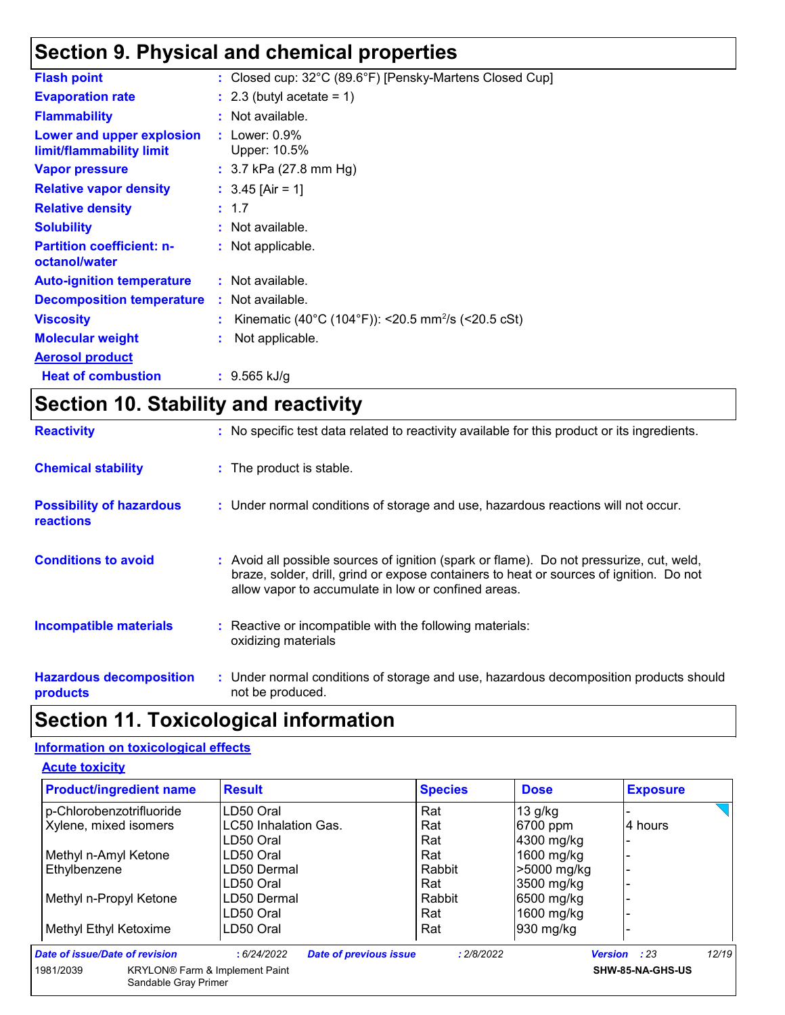### **Section 9. Physical and chemical properties**

| : Closed cup: 32°C (89.6°F) [Pensky-Martens Closed Cup]        |
|----------------------------------------------------------------|
| $: 2.3$ (butyl acetate = 1)                                    |
| : Not available.                                               |
| : Lower: $0.9\%$<br>Upper: 10.5%                               |
| : $3.7$ kPa (27.8 mm Hg)                                       |
| : $3.45$ [Air = 1]                                             |
| : 1.7                                                          |
| : Not available.                                               |
| : Not applicable.                                              |
| : Not available.                                               |
| : Not available.                                               |
| Kinematic (40°C (104°F)): <20.5 mm <sup>2</sup> /s (<20.5 cSt) |
| Not applicable.                                                |
|                                                                |
| $: 9.565$ kJ/g                                                 |
|                                                                |

## **Section 10. Stability and reactivity**

| <b>Reactivity</b>                                   | : No specific test data related to reactivity available for this product or its ingredients.                                                                                                                                               |
|-----------------------------------------------------|--------------------------------------------------------------------------------------------------------------------------------------------------------------------------------------------------------------------------------------------|
| <b>Chemical stability</b>                           | : The product is stable.                                                                                                                                                                                                                   |
| <b>Possibility of hazardous</b><br><b>reactions</b> | : Under normal conditions of storage and use, hazardous reactions will not occur.                                                                                                                                                          |
| <b>Conditions to avoid</b>                          | : Avoid all possible sources of ignition (spark or flame). Do not pressurize, cut, weld,<br>braze, solder, drill, grind or expose containers to heat or sources of ignition. Do not<br>allow vapor to accumulate in low or confined areas. |
| <b>Incompatible materials</b>                       | : Reactive or incompatible with the following materials:<br>oxidizing materials                                                                                                                                                            |
| <b>Hazardous decomposition</b><br>products          | : Under normal conditions of storage and use, hazardous decomposition products should<br>not be produced.                                                                                                                                  |

### **Section 11. Toxicological information**

#### **Information on toxicological effects**

**Acute toxicity**

| <b>Product/ingredient name</b> |                      | <b>Result</b>                         |                               | <b>Species</b> | <b>Dose</b> | <b>Exposure</b>          |       |
|--------------------------------|----------------------|---------------------------------------|-------------------------------|----------------|-------------|--------------------------|-------|
| p-Chlorobenzotrifluoride       |                      | LD50 Oral                             |                               | Rat            | $13$ g/kg   |                          |       |
| Xylene, mixed isomers          |                      | LC50 Inhalation Gas.                  |                               | Rat            | 6700 ppm    | 4 hours                  |       |
|                                |                      | LD50 Oral                             |                               | Rat            | 4300 mg/kg  | $\overline{\phantom{0}}$ |       |
| Methyl n-Amyl Ketone           |                      | LD50 Oral                             |                               | Rat            | 1600 mg/kg  |                          |       |
| Ethylbenzene                   |                      | LD50 Dermal                           |                               | Rabbit         | >5000 mg/kg |                          |       |
|                                |                      | LD50 Oral                             |                               | Rat            | 3500 mg/kg  |                          |       |
| Methyl n-Propyl Ketone         |                      | LD50 Dermal                           |                               | Rabbit         | 6500 mg/kg  |                          |       |
|                                |                      | LD50 Oral                             |                               | Rat            | 1600 mg/kg  |                          |       |
| Methyl Ethyl Ketoxime          |                      | LD50 Oral                             |                               | Rat            | 930 mg/kg   |                          |       |
| Date of issue/Date of revision |                      | :6/24/2022                            | <b>Date of previous issue</b> | : 2/8/2022     |             | <b>Version</b><br>: 23   | 12/19 |
| 1981/2039                      | Sandable Gray Primer | <b>KRYLON®</b> Farm & Implement Paint |                               |                |             | SHW-85-NA-GHS-US         |       |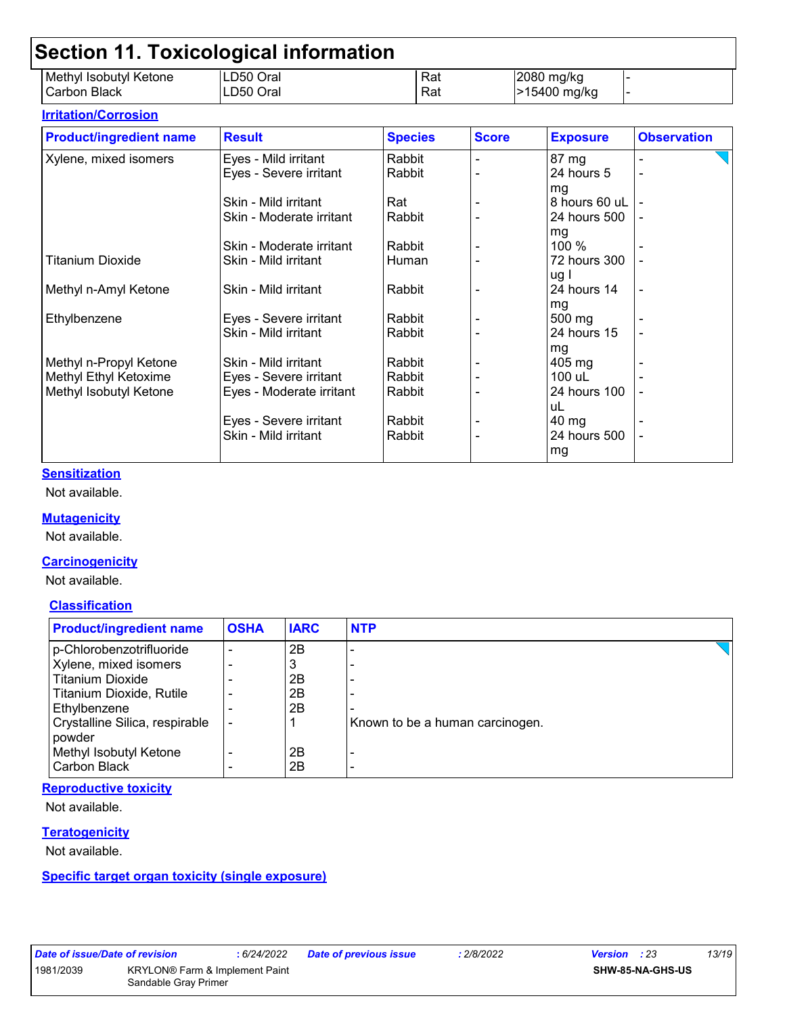| Methyl Isobutyl Ketone<br>Carbon Black | LD50 Oral<br>LD50 Oral   |                | Rat<br>Rat |              | 2080 mg/kg<br>>15400 mg/kg |                    |
|----------------------------------------|--------------------------|----------------|------------|--------------|----------------------------|--------------------|
| <b>Irritation/Corrosion</b>            |                          |                |            |              |                            |                    |
| <b>Product/ingredient name</b>         | <b>Result</b>            | <b>Species</b> |            | <b>Score</b> | <b>Exposure</b>            | <b>Observation</b> |
| Xylene, mixed isomers                  | Eyes - Mild irritant     | Rabbit         |            |              | 87 mg                      |                    |
|                                        | Eyes - Severe irritant   | Rabbit         |            |              | 24 hours 5                 |                    |
|                                        |                          |                |            |              | mg                         |                    |
|                                        | Skin - Mild irritant     | Rat            |            |              | 8 hours 60 uL              |                    |
|                                        | Skin - Moderate irritant | Rabbit         |            |              | 24 hours 500               |                    |
|                                        |                          |                |            |              | mg                         |                    |
|                                        | Skin - Moderate irritant | Rabbit         |            |              | 100 %                      |                    |
| <b>Titanium Dioxide</b>                | Skin - Mild irritant     | Human          |            |              | 72 hours 300               |                    |
|                                        |                          |                |            |              | ug l                       |                    |
| Methyl n-Amyl Ketone                   | Skin - Mild irritant     | Rabbit         |            |              | 24 hours 14                |                    |
|                                        |                          |                |            |              | mg                         |                    |
| Ethylbenzene                           | Eyes - Severe irritant   | Rabbit         |            |              | 500 mg                     |                    |
|                                        | Skin - Mild irritant     | Rabbit         |            |              | 24 hours 15                |                    |
|                                        |                          |                |            |              | mg                         |                    |
| Methyl n-Propyl Ketone                 | Skin - Mild irritant     | Rabbit         |            |              | $405 \text{ mg}$           |                    |
| Methyl Ethyl Ketoxime                  | Eyes - Severe irritant   | Rabbit         |            |              | 100 uL                     |                    |
| Methyl Isobutyl Ketone                 | Eyes - Moderate irritant | Rabbit         |            |              | 24 hours 100               |                    |
|                                        |                          |                |            |              | uL                         |                    |
|                                        | Eyes - Severe irritant   | Rabbit         |            |              | 40 mg                      |                    |
|                                        | Skin - Mild irritant     | Rabbit         |            |              | 24 hours 500               |                    |
|                                        |                          |                |            |              | mg                         |                    |

#### **Sensitization**

Not available.

#### **Mutagenicity**

Not available.

#### **Carcinogenicity**

Not available.

#### **Classification**

| <b>Product/ingredient name</b>           | <b>OSHA</b> | <b>IARC</b> | <b>NTP</b>                      |
|------------------------------------------|-------------|-------------|---------------------------------|
| p-Chlorobenzotrifluoride                 |             | 2B          |                                 |
| Xylene, mixed isomers                    |             | 3           |                                 |
| <b>Titanium Dioxide</b>                  |             | 2B          |                                 |
| Titanium Dioxide, Rutile                 |             | 2Β          |                                 |
| Ethylbenzene                             |             | 2B          |                                 |
| Crystalline Silica, respirable<br>powder |             |             | Known to be a human carcinogen. |
| Methyl Isobutyl Ketone                   |             | 2Β          |                                 |
| <b>Carbon Black</b>                      |             | 2Β          |                                 |

#### **Reproductive toxicity**

Not available.

#### **Teratogenicity**

Not available.

#### **Specific target organ toxicity (single exposure)**

|           | Date of issue/Date o |  |
|-----------|----------------------|--|
| 1081/2020 |                      |  |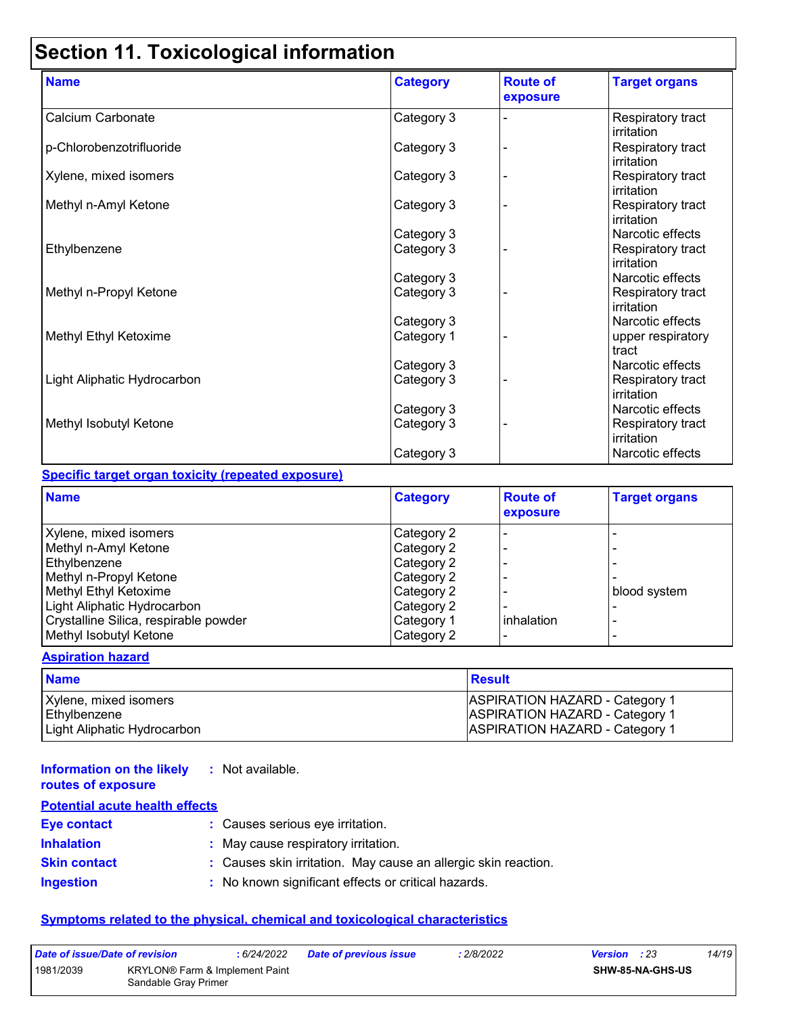# **Section 11. Toxicological information**

| <b>Name</b>                 | <b>Category</b> | <b>Route of</b><br>exposure | <b>Target organs</b>                   |
|-----------------------------|-----------------|-----------------------------|----------------------------------------|
| Calcium Carbonate           | Category 3      |                             | Respiratory tract<br>irritation        |
| p-Chlorobenzotrifluoride    | Category 3      |                             | Respiratory tract<br>irritation        |
| Xylene, mixed isomers       | Category 3      |                             | Respiratory tract<br>irritation        |
| Methyl n-Amyl Ketone        | Category 3      |                             | Respiratory tract<br>irritation        |
|                             | Category 3      |                             | Narcotic effects                       |
| Ethylbenzene                | Category 3      |                             | Respiratory tract<br>irritation        |
|                             | Category 3      |                             | Narcotic effects                       |
| Methyl n-Propyl Ketone      | Category 3      |                             | Respiratory tract<br>irritation        |
|                             | Category 3      |                             | Narcotic effects                       |
| Methyl Ethyl Ketoxime       | Category 1      |                             | upper respiratory<br>tract             |
|                             | Category 3      |                             | Narcotic effects                       |
| Light Aliphatic Hydrocarbon | Category 3      |                             | Respiratory tract<br>irritation        |
|                             | Category 3      |                             | Narcotic effects                       |
| Methyl Isobutyl Ketone      | Category 3      |                             | Respiratory tract<br><b>irritation</b> |
|                             | Category 3      |                             | Narcotic effects                       |

#### **Specific target organ toxicity (repeated exposure)**

| <b>Name</b>                           | <b>Category</b> | <b>Route of</b><br>exposure | <b>Target organs</b> |
|---------------------------------------|-----------------|-----------------------------|----------------------|
| Xylene, mixed isomers                 | Category 2      |                             |                      |
| Methyl n-Amyl Ketone                  | Category 2      |                             |                      |
| Ethylbenzene                          | Category 2      |                             |                      |
| Methyl n-Propyl Ketone                | Category 2      |                             |                      |
| Methyl Ethyl Ketoxime                 | Category 2      |                             | blood system         |
| Light Aliphatic Hydrocarbon           | Category 2      |                             |                      |
| Crystalline Silica, respirable powder | Category 1      | inhalation                  |                      |
| Methyl Isobutyl Ketone                | Category 2      |                             |                      |

#### **Aspiration hazard**

| <b>Name</b>                 | <b>Result</b>                         |
|-----------------------------|---------------------------------------|
| Xylene, mixed isomers       | <b>ASPIRATION HAZARD - Category 1</b> |
| Ethylbenzene                | <b>ASPIRATION HAZARD - Category 1</b> |
| Light Aliphatic Hydrocarbon | <b>ASPIRATION HAZARD - Category 1</b> |

| <b>Information on the likely</b> : Not available.<br>routes of exposure |                                                                |
|-------------------------------------------------------------------------|----------------------------------------------------------------|
| <b>Potential acute health effects</b>                                   |                                                                |
| <b>Eye contact</b>                                                      | : Causes serious eye irritation.                               |
| <b>Inhalation</b>                                                       | : May cause respiratory irritation.                            |
| <b>Skin contact</b>                                                     | : Causes skin irritation. May cause an allergic skin reaction. |
| <b>Ingestion</b>                                                        | : No known significant effects or critical hazards.            |

#### **Symptoms related to the physical, chemical and toxicological characteristics**

| Date of issue/Date of revision |                                                                    | : 6/24/2022 | <b>Date of previous issue</b> | : 2/8/2022 | <b>Version</b> : 23     | 14/19 |
|--------------------------------|--------------------------------------------------------------------|-------------|-------------------------------|------------|-------------------------|-------|
| 1981/2039                      | KRYLON <sup>®</sup> Farm & Implement Paint<br>Sandable Gray Primer |             |                               |            | <b>SHW-85-NA-GHS-US</b> |       |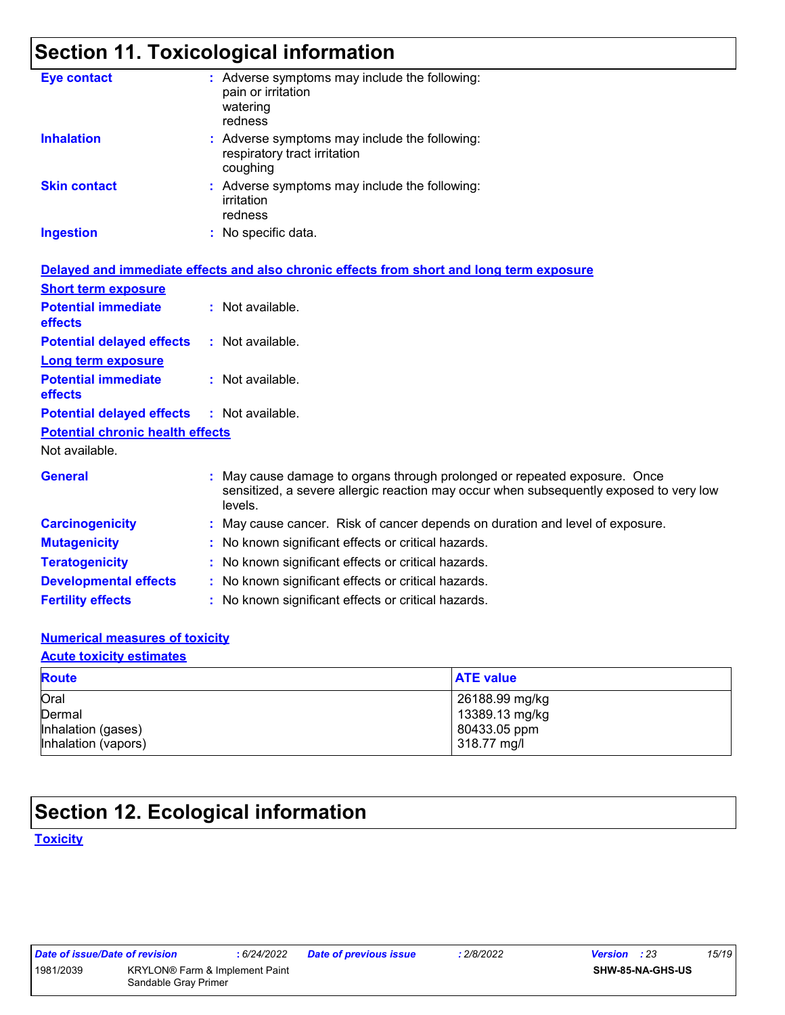## **Section 11. Toxicological information**

| <b>Eye contact</b>                           | : Adverse symptoms may include the following:<br>pain or irritation<br>watering<br>redness                                                                                     |
|----------------------------------------------|--------------------------------------------------------------------------------------------------------------------------------------------------------------------------------|
| <b>Inhalation</b>                            | : Adverse symptoms may include the following:<br>respiratory tract irritation<br>coughing                                                                                      |
| <b>Skin contact</b>                          | : Adverse symptoms may include the following:<br>irritation<br>redness                                                                                                         |
| <b>Ingestion</b>                             | : No specific data.                                                                                                                                                            |
|                                              | Delayed and immediate effects and also chronic effects from short and long term exposure                                                                                       |
| <b>Short term exposure</b>                   |                                                                                                                                                                                |
| <b>Potential immediate</b><br><b>effects</b> | : Not available.                                                                                                                                                               |
| <b>Potential delayed effects</b>             | : Not available.                                                                                                                                                               |
| Long term exposure                           |                                                                                                                                                                                |
| <b>Potential immediate</b><br>effects        | : Not available.                                                                                                                                                               |
| <b>Potential delayed effects</b>             | : Not available.                                                                                                                                                               |
| <b>Potential chronic health effects</b>      |                                                                                                                                                                                |
| Not available.                               |                                                                                                                                                                                |
| <b>General</b>                               | : May cause damage to organs through prolonged or repeated exposure. Once<br>sensitized, a severe allergic reaction may occur when subsequently exposed to very low<br>levels. |
| <b>Carcinogenicity</b>                       | : May cause cancer. Risk of cancer depends on duration and level of exposure.                                                                                                  |
| <b>Mutagenicity</b>                          | : No known significant effects or critical hazards.                                                                                                                            |
| <b>Teratogenicity</b>                        | : No known significant effects or critical hazards.                                                                                                                            |
| <b>Developmental effects</b>                 | : No known significant effects or critical hazards.                                                                                                                            |
| <b>Fertility effects</b>                     | : No known significant effects or critical hazards.                                                                                                                            |
|                                              |                                                                                                                                                                                |

#### **Numerical measures of toxicity**

#### **Acute toxicity estimates**

| <b>Route</b>        | <b>ATE value</b> |
|---------------------|------------------|
| Oral                | 26188.99 mg/kg   |
| Dermal              | 13389.13 mg/kg   |
| Inhalation (gases)  | 80433.05 ppm     |
| Inhalation (vapors) | 318.77 mg/l      |

### **Section 12. Ecological information**

**Toxicity**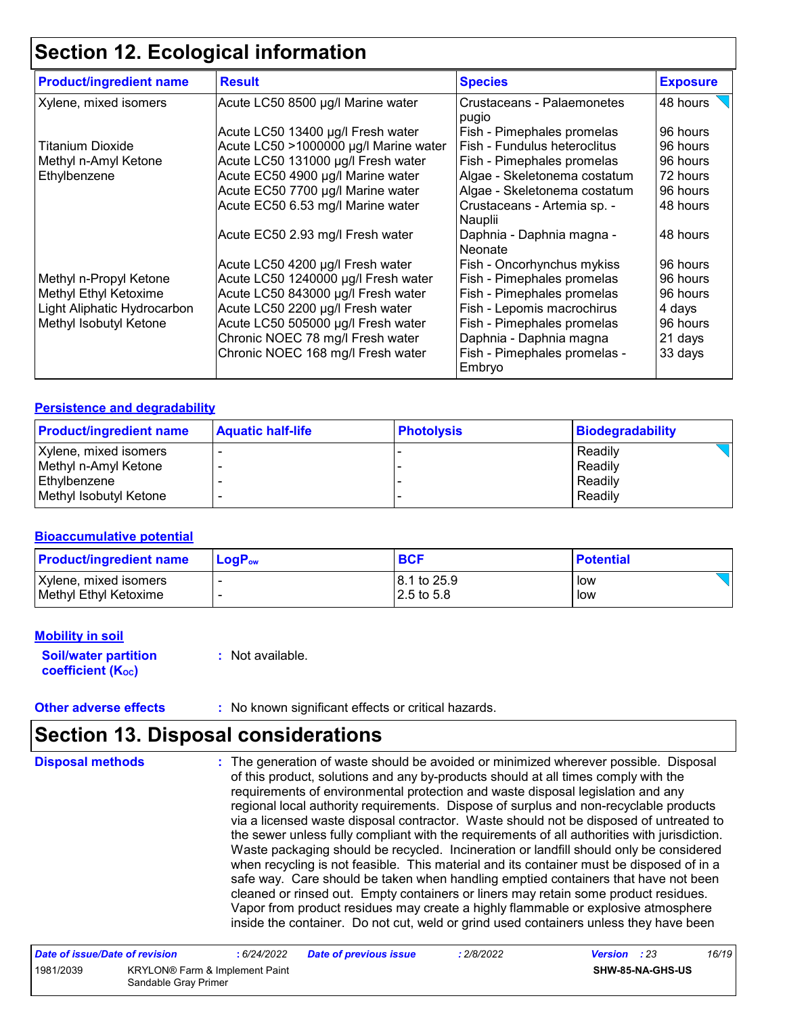### **Section 12. Ecological information**

| <b>Product/ingredient name</b> | <b>Result</b>                         | <b>Species</b>                         | <b>Exposure</b> |
|--------------------------------|---------------------------------------|----------------------------------------|-----------------|
| Xylene, mixed isomers          | Acute LC50 8500 µg/l Marine water     | Crustaceans - Palaemonetes<br>pugio    | 48 hours        |
|                                | Acute LC50 13400 µg/l Fresh water     | Fish - Pimephales promelas             | 96 hours        |
| <b>Titanium Dioxide</b>        | Acute LC50 >1000000 µg/l Marine water | Fish - Fundulus heteroclitus           | 96 hours        |
| Methyl n-Amyl Ketone           | Acute LC50 131000 µg/l Fresh water    | Fish - Pimephales promelas             | 96 hours        |
| Ethylbenzene                   | Acute EC50 4900 µg/l Marine water     | Algae - Skeletonema costatum           | 72 hours        |
|                                | Acute EC50 7700 µg/l Marine water     | Algae - Skeletonema costatum           | 96 hours        |
|                                | Acute EC50 6.53 mg/l Marine water     | Crustaceans - Artemia sp. -<br>Nauplii | 48 hours        |
|                                | Acute EC50 2.93 mg/l Fresh water      | Daphnia - Daphnia magna -<br>Neonate   | 48 hours        |
|                                | Acute LC50 4200 µg/l Fresh water      | Fish - Oncorhynchus mykiss             | 96 hours        |
| Methyl n-Propyl Ketone         | Acute LC50 1240000 µg/l Fresh water   | Fish - Pimephales promelas             | 96 hours        |
| Methyl Ethyl Ketoxime          | Acute LC50 843000 µg/l Fresh water    | Fish - Pimephales promelas             | 96 hours        |
| Light Aliphatic Hydrocarbon    | Acute LC50 2200 µg/l Fresh water      | Fish - Lepomis macrochirus             | 4 days          |
| Methyl Isobutyl Ketone         | Acute LC50 505000 µg/l Fresh water    | Fish - Pimephales promelas             | 96 hours        |
|                                | Chronic NOEC 78 mg/l Fresh water      | Daphnia - Daphnia magna                | 21 days         |
|                                | Chronic NOEC 168 mg/l Fresh water     | Fish - Pimephales promelas -<br>Embryo | 33 days         |

#### **Persistence and degradability**

| <b>Product/ingredient name</b> | <b>Aquatic half-life</b> | <b>Photolysis</b> | <b>Biodegradability</b> |
|--------------------------------|--------------------------|-------------------|-------------------------|
| Xylene, mixed isomers          |                          |                   | Readily                 |
| Methyl n-Amyl Ketone           |                          |                   | Readily                 |
| <b>Ethylbenzene</b>            |                          |                   | Readily                 |
| Methyl Isobutyl Ketone         |                          |                   | Readily                 |

#### **Bioaccumulative potential**

| <b>Product/ingredient name</b> | $LoaPow$ | <b>BCF</b>            | <b>Potential</b> |
|--------------------------------|----------|-----------------------|------------------|
| Xylene, mixed isomers          |          | 18.1 to 25.9          | low              |
| Methyl Ethyl Ketoxime          |          | $2.5 \text{ to } 5.8$ | low              |

#### **Mobility in soil**

**Soil/water partition coefficient (KOC)**

**:** Not available.

**Other adverse effects** : No known significant effects or critical hazards.

### **Section 13. Disposal considerations**

The generation of waste should be avoided or minimized wherever possible. Disposal of this product, solutions and any by-products should at all times comply with the requirements of environmental protection and waste disposal legislation and any regional local authority requirements. Dispose of surplus and non-recyclable products via a licensed waste disposal contractor. Waste should not be disposed of untreated to the sewer unless fully compliant with the requirements of all authorities with jurisdiction. Waste packaging should be recycled. Incineration or landfill should only be considered when recycling is not feasible. This material and its container must be disposed of in a safe way. Care should be taken when handling emptied containers that have not been cleaned or rinsed out. Empty containers or liners may retain some product residues. Vapor from product residues may create a highly flammable or explosive atmosphere inside the container. Do not cut, weld or grind used containers unless they have been **Disposal methods :**

| Date of issue/Date of revision |                      | : 6/24/2022                                | <b>Date of previous issue</b> | : 2/8/2022 | <b>Version</b> : 23 |                  | 16/19 |
|--------------------------------|----------------------|--------------------------------------------|-------------------------------|------------|---------------------|------------------|-------|
| 1981/2039                      | Sandable Gray Primer | KRYLON <sup>®</sup> Farm & Implement Paint |                               |            |                     | SHW-85-NA-GHS-US |       |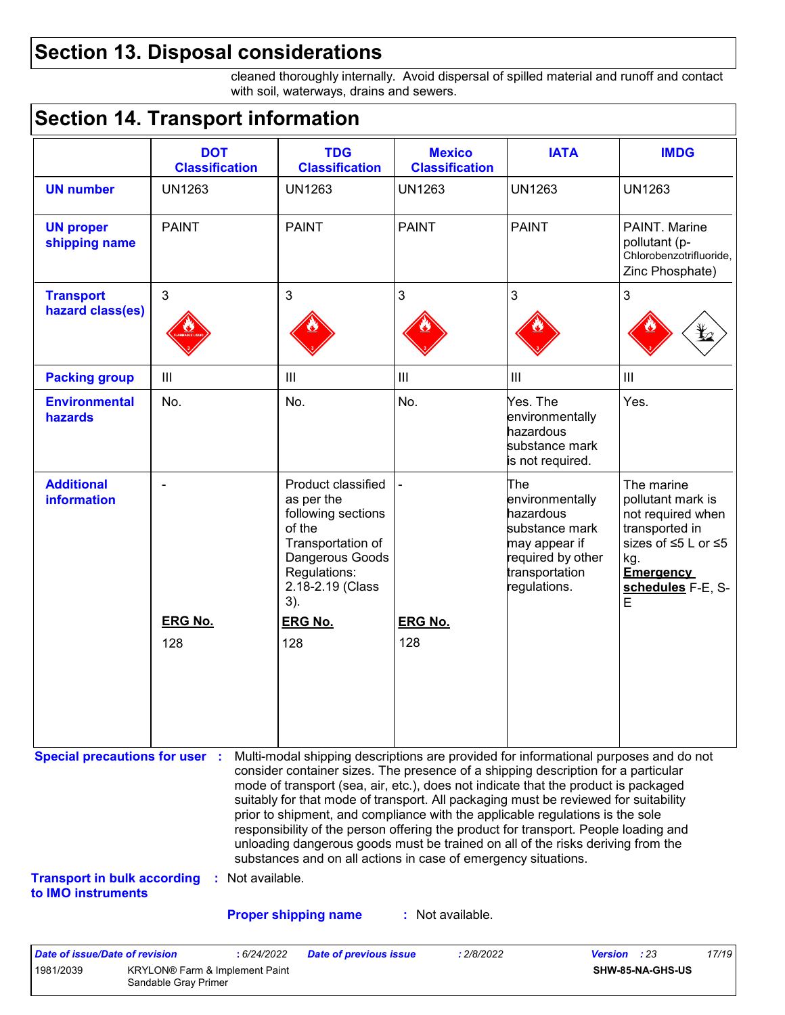### **Section 13. Disposal considerations**

cleaned thoroughly internally. Avoid dispersal of spilled material and runoff and contact with soil, waterways, drains and sewers.

### **Section 14. Transport information**

|                                         | <b>DOT</b><br><b>Classification</b> | <b>TDG</b><br><b>Classification</b>                                                                                                                                   | <b>Mexico</b><br><b>Classification</b> | <b>IATA</b>                                                                                                                   | <b>IMDG</b>                                                                                                                                        |
|-----------------------------------------|-------------------------------------|-----------------------------------------------------------------------------------------------------------------------------------------------------------------------|----------------------------------------|-------------------------------------------------------------------------------------------------------------------------------|----------------------------------------------------------------------------------------------------------------------------------------------------|
| <b>UN number</b>                        | <b>UN1263</b>                       | <b>UN1263</b>                                                                                                                                                         | <b>UN1263</b>                          | <b>UN1263</b>                                                                                                                 | <b>UN1263</b>                                                                                                                                      |
| <b>UN proper</b><br>shipping name       | <b>PAINT</b>                        | <b>PAINT</b>                                                                                                                                                          | <b>PAINT</b>                           | <b>PAINT</b>                                                                                                                  | PAINT. Marine<br>pollutant (p-<br>Chlorobenzotrifluoride,<br>Zinc Phosphate)                                                                       |
| <b>Transport</b><br>hazard class(es)    | 3                                   | $\mathbf{3}$                                                                                                                                                          | 3                                      | 3                                                                                                                             | $\mathfrak{S}$                                                                                                                                     |
| <b>Packing group</b>                    | III                                 | III                                                                                                                                                                   | $\ensuremath{\mathsf{III}}\xspace$     | $\mathbf{III}$                                                                                                                | $\ensuremath{\mathsf{III}}\xspace$                                                                                                                 |
| <b>Environmental</b><br>hazards         | No.                                 | No.                                                                                                                                                                   | No.                                    | Yes. The<br>environmentally<br>hazardous<br>substance mark<br>is not required.                                                | Yes.                                                                                                                                               |
| <b>Additional</b><br><b>information</b> | <b>ERG No.</b>                      | Product classified<br>as per the<br>following sections<br>of the<br>Transportation of<br>Dangerous Goods<br>Regulations:<br>2.18-2.19 (Class<br>3).<br><b>ERG No.</b> | <b>ERG No.</b>                         | The<br>environmentally<br>hazardous<br>substance mark<br>may appear if<br>required by other<br>transportation<br>regulations. | The marine<br>pollutant mark is<br>not required when<br>transported in<br>sizes of ≤5 L or ≤5<br>kg.<br><b>Emergency</b><br>schedules F-E, S-<br>E |
|                                         | 128                                 | 128                                                                                                                                                                   | 128                                    |                                                                                                                               |                                                                                                                                                    |

**Transport in bulk according :** Not available. **to IMO instruments**

### **Proper shipping name :**

: Not available.

substances and on all actions in case of emergency situations.

responsibility of the person offering the product for transport. People loading and unloading dangerous goods must be trained on all of the risks deriving from the

| Date of issue/Date of revision |                                                                    | 6/24/2022 | <b>Date of previous issue</b> | : 2/8/2022 | <b>Version</b> : 23 | 17/19 |
|--------------------------------|--------------------------------------------------------------------|-----------|-------------------------------|------------|---------------------|-------|
| 1981/2039                      | KRYLON <sup>®</sup> Farm & Implement Paint<br>Sandable Gray Primer |           |                               |            | SHW-85-NA-GHS-US    |       |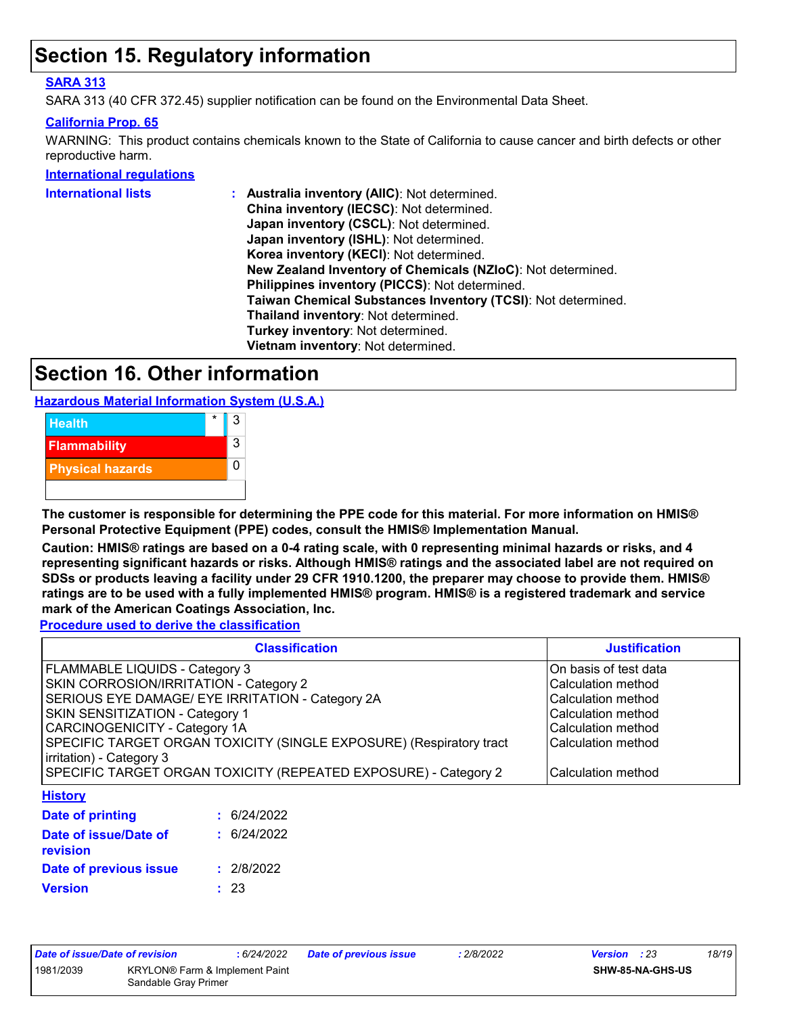### **Section 15. Regulatory information**

#### **SARA 313**

SARA 313 (40 CFR 372.45) supplier notification can be found on the Environmental Data Sheet.

#### **California Prop. 65**

WARNING: This product contains chemicals known to the State of California to cause cancer and birth defects or other reproductive harm.

**International regulations**

| International lists | : Australia inventory (AIIC): Not determined.                |
|---------------------|--------------------------------------------------------------|
|                     | China inventory (IECSC): Not determined.                     |
|                     | Japan inventory (CSCL): Not determined.                      |
|                     | Japan inventory (ISHL): Not determined.                      |
|                     | Korea inventory (KECI): Not determined.                      |
|                     | New Zealand Inventory of Chemicals (NZIoC): Not determined.  |
|                     | Philippines inventory (PICCS): Not determined.               |
|                     | Taiwan Chemical Substances Inventory (TCSI): Not determined. |
|                     | Thailand inventory: Not determined.                          |
|                     | Turkey inventory: Not determined.                            |
|                     | Vietnam inventory: Not determined.                           |
|                     |                                                              |

### **Section 16. Other information**

**Hazardous Material Information System (U.S.A.)**



**The customer is responsible for determining the PPE code for this material. For more information on HMIS® Personal Protective Equipment (PPE) codes, consult the HMIS® Implementation Manual.**

**Caution: HMIS® ratings are based on a 0-4 rating scale, with 0 representing minimal hazards or risks, and 4 representing significant hazards or risks. Although HMIS® ratings and the associated label are not required on SDSs or products leaving a facility under 29 CFR 1910.1200, the preparer may choose to provide them. HMIS® ratings are to be used with a fully implemented HMIS® program. HMIS® is a registered trademark and service mark of the American Coatings Association, Inc.**

**Procedure used to derive the classification**

|                                                                                                 | <b>Justification</b> |                       |
|-------------------------------------------------------------------------------------------------|----------------------|-----------------------|
| FLAMMABLE LIQUIDS - Category 3                                                                  |                      | On basis of test data |
| SKIN CORROSION/IRRITATION - Category 2                                                          |                      | Calculation method    |
| SERIOUS EYE DAMAGE/ EYE IRRITATION - Category 2A                                                |                      | Calculation method    |
| <b>SKIN SENSITIZATION - Category 1</b>                                                          |                      | Calculation method    |
| <b>CARCINOGENICITY - Category 1A</b>                                                            |                      | Calculation method    |
| SPECIFIC TARGET ORGAN TOXICITY (SINGLE EXPOSURE) (Respiratory tract<br>irritation) - Category 3 | l Calculation method |                       |
| SPECIFIC TARGET ORGAN TOXICITY (REPEATED EXPOSURE) - Category 2                                 | Calculation method   |                       |
| <b>History</b>                                                                                  |                      |                       |
| Date of printing                                                                                | : 6/24/2022          |                       |
| Date of issue/Date of                                                                           | : 6/24/2022          |                       |

| revision               |            |
|------------------------|------------|
| Date of previous issue | : 2/8/2022 |
| <b>Version</b>         | : 23       |